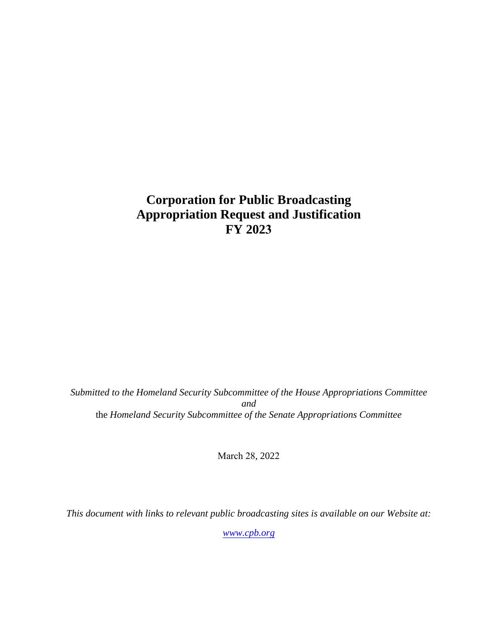## **Corporation for Public Broadcasting Appropriation Request and Justification FY 2023**

*Submitted to the Homeland Security Subcommittee of the House Appropriations Committee and*  the *Homeland Security Subcommittee of the Senate Appropriations Committee*

March 28, 2022

*This document with links to relevant public broadcasting sites is available on our Website at:* 

*[www.cpb.org](http://www.cpb.org/)*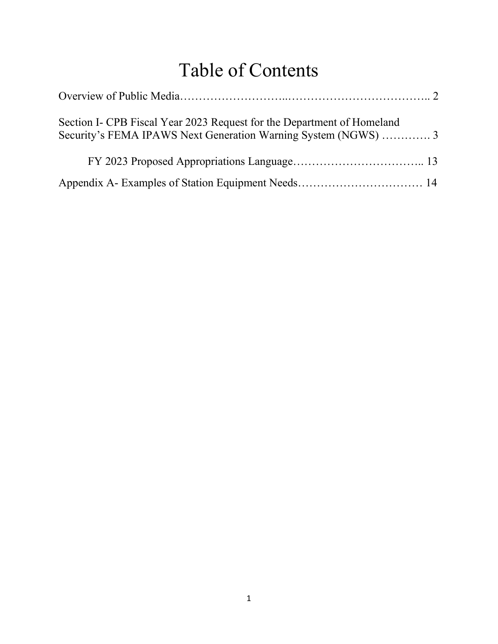# Table of Contents

| Section I- CPB Fiscal Year 2023 Request for the Department of Homeland<br>Security's FEMA IPAWS Next Generation Warning System (NGWS)  3 |  |
|------------------------------------------------------------------------------------------------------------------------------------------|--|
|                                                                                                                                          |  |
|                                                                                                                                          |  |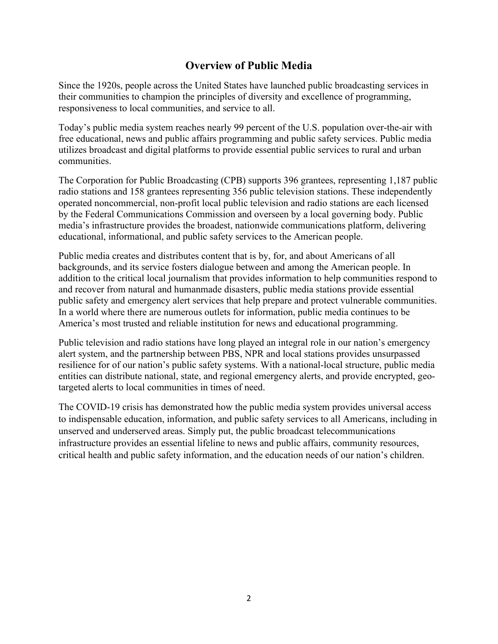## **Overview of Public Media**

Since the 1920s, people across the United States have launched public broadcasting services in their communities to champion the principles of diversity and excellence of programming, responsiveness to local communities, and service to all.

Today's public media system reaches nearly 99 percent of the U.S. population over-the-air with free educational, news and public affairs programming and public safety services. Public media utilizes broadcast and digital platforms to provide essential public services to rural and urban communities.

The Corporation for Public Broadcasting (CPB) supports 396 grantees, representing 1,187 public radio stations and 158 grantees representing 356 public television stations. These independently operated noncommercial, non-profit local public television and radio stations are each licensed by the Federal Communications Commission and overseen by a local governing body. Public media's infrastructure provides the broadest, nationwide communications platform, delivering educational, informational, and public safety services to the American people.

Public media creates and distributes content that is by, for, and about Americans of all backgrounds, and its service fosters dialogue between and among the American people. In addition to the critical local journalism that provides information to help communities respond to and recover from natural and humanmade disasters, public media stations provide essential public safety and emergency alert services that help prepare and protect vulnerable communities. In a world where there are numerous outlets for information, public media continues to be America's most trusted and reliable institution for news and educational programming.

Public television and radio stations have long played an integral role in our nation's emergency alert system, and the partnership between PBS, NPR and local stations provides unsurpassed resilience for of our nation's public safety systems. With a national-local structure, public media entities can distribute national, state, and regional emergency alerts, and provide encrypted, geotargeted alerts to local communities in times of need.

The COVID-19 crisis has demonstrated how the public media system provides universal access to indispensable education, information, and public safety services to all Americans, including in unserved and underserved areas. Simply put, the public broadcast telecommunications infrastructure provides an essential lifeline to news and public affairs, community resources, critical health and public safety information, and the education needs of our nation's children.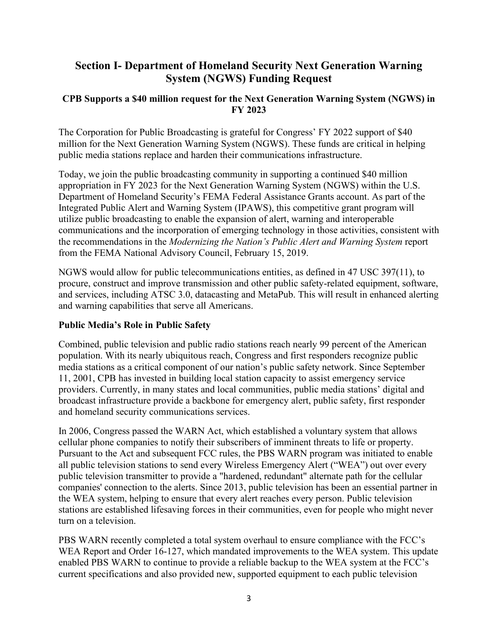## **Section I- Department of Homeland Security Next Generation Warning System (NGWS) Funding Request**

#### **CPB Supports a \$40 million request for the Next Generation Warning System (NGWS) in FY 2023**

The Corporation for Public Broadcasting is grateful for Congress' FY 2022 support of \$40 million for the Next Generation Warning System (NGWS). These funds are critical in helping public media stations replace and harden their communications infrastructure.

Today, we join the public broadcasting community in supporting a continued \$40 million appropriation in FY 2023 for the Next Generation Warning System (NGWS) within the U.S. Department of Homeland Security's FEMA Federal Assistance Grants account. As part of the Integrated Public Alert and Warning System (IPAWS), this competitive grant program will utilize public broadcasting to enable the expansion of alert, warning and interoperable communications and the incorporation of emerging technology in those activities, consistent with the recommendations in the *Modernizing the Nation's Public Alert and Warning System* report from the FEMA National Advisory Council, February 15, 2019.

NGWS would allow for public telecommunications entities, as defined in 47 USC 397(11), to procure, construct and improve transmission and other public safety-related equipment, software, and services, including ATSC 3.0, datacasting and MetaPub. This will result in enhanced alerting and warning capabilities that serve all Americans.

#### **Public Media's Role in Public Safety**

Combined, public television and public radio stations reach nearly 99 percent of the American population. With its nearly ubiquitous reach, Congress and first responders recognize public media stations as a critical component of our nation's public safety network. Since September 11, 2001, CPB has invested in building local station capacity to assist emergency service providers. Currently, in many states and local communities, public media stations' digital and broadcast infrastructure provide a backbone for emergency alert, public safety, first responder and homeland security communications services.

In 2006, Congress passed the WARN Act, which established a voluntary system that allows cellular phone companies to notify their subscribers of imminent threats to life or property. Pursuant to the Act and subsequent FCC rules, the PBS WARN program was initiated to enable all public television stations to send every Wireless Emergency Alert ("WEA") out over every public television transmitter to provide a "hardened, redundant" alternate path for the cellular companies' connection to the alerts. Since 2013, public television has been an essential partner in the WEA system, helping to ensure that every alert reaches every person. Public television stations are established lifesaving forces in their communities, even for people who might never turn on a television.

PBS WARN recently completed a total system overhaul to ensure compliance with the FCC's WEA Report and Order 16-127, which mandated improvements to the WEA system. This update enabled PBS WARN to continue to provide a reliable backup to the WEA system at the FCC's current specifications and also provided new, supported equipment to each public television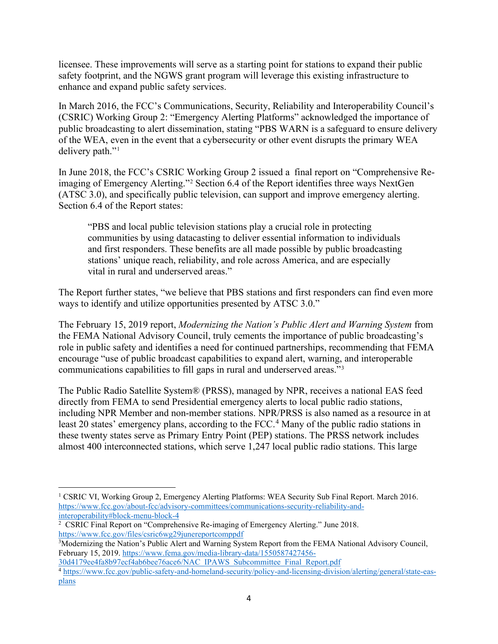licensee. These improvements will serve as a starting point for stations to expand their public safety footprint, and the NGWS grant program will leverage this existing infrastructure to enhance and expand public safety services.

In March 2016, the FCC's Communications, Security, Reliability and Interoperability Council's (CSRIC) Working Group 2: "Emergency Alerting Platforms" acknowledged the importance of public broadcasting to alert dissemination, stating "PBS WARN is a safeguard to ensure delivery of the WEA, even in the event that a cybersecurity or other event disrupts the primary WEA delivery path."<sup>[1](#page-4-0)</sup>

In June 2018, the FCC's CSRIC Working Group 2 issued a final report on "Comprehensive Reimaging of Emergency Alerting."[2](#page-4-1) Section 6.4 of the Report identifies three ways NextGen (ATSC 3.0), and specifically public television, can support and improve emergency alerting. Section 6.4 of the Report states:

"PBS and local public television stations play a crucial role in protecting communities by using datacasting to deliver essential information to individuals and first responders. These benefits are all made possible by public broadcasting stations' unique reach, reliability, and role across America, and are especially vital in rural and underserved areas."

The Report further states, "we believe that PBS stations and first responders can find even more ways to identify and utilize opportunities presented by ATSC 3.0."

The February 15, 2019 report, *Modernizing the Nation's Public Alert and Warning System* from the FEMA National Advisory Council, truly cements the importance of public broadcasting's role in public safety and identifies a need for continued partnerships, recommending that FEMA encourage "use of public broadcast capabilities to expand alert, warning, and interoperable communications capabilities to fill gaps in rural and underserved areas."[3](#page-4-2)

The Public Radio Satellite System® (PRSS), managed by NPR, receives a national EAS feed directly from FEMA to send Presidential emergency alerts to local public radio stations, including NPR Member and non-member stations. NPR/PRSS is also named as a resource in at least 20 states' emergency plans, according to the FCC. [4](#page-4-3) Many of the public radio stations in these twenty states serve as Primary Entry Point (PEP) stations. The PRSS network includes almost 400 interconnected stations, which serve 1,247 local public radio stations. This large

<span id="page-4-0"></span><sup>&</sup>lt;sup>1</sup> CSRIC VI, Working Group 2, Emergency Alerting Platforms: WEA Security Sub Final Report. March 2016. [https://www.fcc.gov/about-fcc/advisory-committees/communications-security-reliability-and](https://www.fcc.gov/about-fcc/advisory-committees/communications-security-reliability-and-interoperability#block-menu-block-4)[interoperability#block-menu-block-4](https://www.fcc.gov/about-fcc/advisory-committees/communications-security-reliability-and-interoperability#block-menu-block-4)

<span id="page-4-1"></span><sup>&</sup>lt;sup>2</sup> CSRIC Final Report on "Comprehensive Re-imaging of Emergency Alerting." June 2018. <https://www.fcc.gov/files/csric6wg29junereportcomppdf>

<span id="page-4-2"></span><sup>3</sup> Modernizing the Nation's Public Alert and Warning System Report from the FEMA National Advisory Council, February 15, 2019. [https://www.fema.gov/media-library-data/1550587427456-](https://www.fema.gov/media-library-data/1550587427456-30d4179ee4fa8b97ecf4ab6bee76ace6/NAC_IPAWS_Subcommittee_Final_Report.pdf)

[<sup>30</sup>d4179ee4fa8b97ecf4ab6bee76ace6/NAC\\_IPAWS\\_Subcommittee\\_Final\\_Report.pdf](https://www.fema.gov/media-library-data/1550587427456-30d4179ee4fa8b97ecf4ab6bee76ace6/NAC_IPAWS_Subcommittee_Final_Report.pdf)

<span id="page-4-3"></span><sup>&</sup>lt;sup>4</sup> [https://www.fcc.gov/public-safety-and-homeland-security/policy-and-licensing-division/alerting/general/state-eas](https://www.fcc.gov/public-safety-and-homeland-security/policy-and-licensing-division/alerting/general/state-eas-plans)[plans](https://www.fcc.gov/public-safety-and-homeland-security/policy-and-licensing-division/alerting/general/state-eas-plans)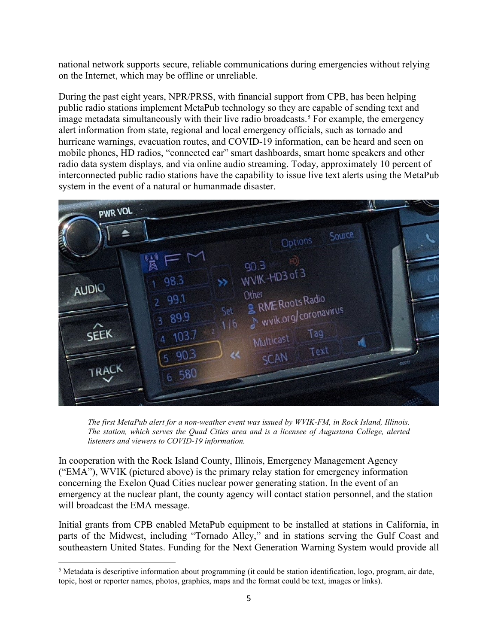national network supports secure, reliable communications during emergencies without relying on the Internet, which may be offline or unreliable.

During the past eight years, NPR/PRSS, with financial support from CPB, has been helping public radio stations implement MetaPub technology so they are capable of sending text and image metadata simultaneously with their live radio broadcasts.<sup>[5](#page-5-0)</sup> For example, the emergency alert information from state, regional and local emergency officials, such as tornado and hurricane warnings, evacuation routes, and COVID-19 information, can be heard and seen on mobile phones, HD radios, "connected car" smart dashboards, smart home speakers and other radio data system displays, and via online audio streaming. Today, approximately 10 percent of interconnected public radio stations have the capability to issue live text alerts using the MetaPub system in the event of a natural or humanmade disaster.



*The first MetaPub alert for a non-weather event was issued by WVIK-FM, in Rock Island, Illinois. The station, which serves the Quad Cities area and is a licensee of Augustana College, alerted listeners and viewers to COVID-19 information.*

In cooperation with the Rock Island County, Illinois, Emergency Management Agency ("EMA"), WVIK (pictured above) is the primary relay station for emergency information concerning the Exelon Quad Cities nuclear power generating station. In the event of an emergency at the nuclear plant, the county agency will contact station personnel, and the station will broadcast the EMA message.

Initial grants from CPB enabled MetaPub equipment to be installed at stations in California, in parts of the Midwest, including "Tornado Alley," and in stations serving the Gulf Coast and southeastern United States. Funding for the Next Generation Warning System would provide all

<span id="page-5-0"></span><sup>&</sup>lt;sup>5</sup> Metadata is descriptive information about programming (it could be station identification, logo, program, air date, topic, host or reporter names, photos, graphics, maps and the format could be text, images or links).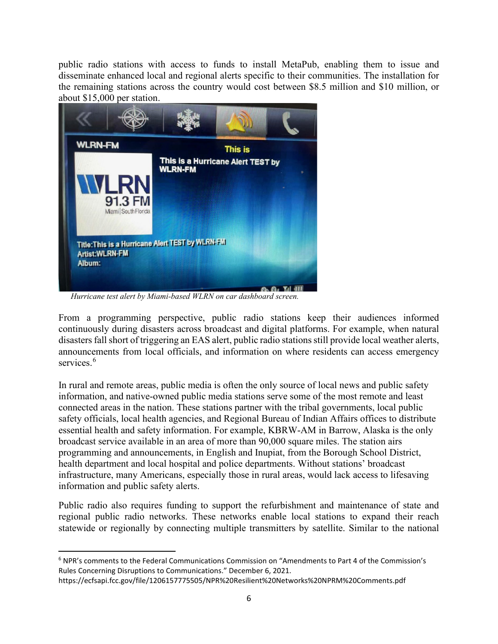public radio stations with access to funds to install MetaPub, enabling them to issue and disseminate enhanced local and regional alerts specific to their communities. The installation for the remaining stations across the country would cost between \$8.5 million and \$10 million, or about \$15,000 per station.



 *Hurricane test alert by Miami-based WLRN on car dashboard screen.*

From a programming perspective, public radio stations keep their audiences informed continuously during disasters across broadcast and digital platforms. For example, when natural disasters fall short of triggering an EAS alert, public radio stations still provide local weather alerts, announcements from local officials, and information on where residents can access emergency services.<sup>[6](#page-6-0)</sup>

In rural and remote areas, public media is often the only source of local news and public safety information, and native-owned public media stations serve some of the most remote and least connected areas in the nation. These stations partner with the tribal governments, local public safety officials, local health agencies, and Regional Bureau of Indian Affairs offices to distribute essential health and safety information. For example, KBRW-AM in Barrow, Alaska is the only broadcast service available in an area of more than 90,000 square miles. The station airs programming and announcements, in English and Inupiat, from the Borough School District, health department and local hospital and police departments. Without stations' broadcast infrastructure, many Americans, especially those in rural areas, would lack access to lifesaving information and public safety alerts.

Public radio also requires funding to support the refurbishment and maintenance of state and regional public radio networks. These networks enable local stations to expand their reach statewide or regionally by connecting multiple transmitters by satellite. Similar to the national

<span id="page-6-0"></span><sup>6</sup> NPR's comments to the Federal Communications Commission on "Amendments to Part 4 of the Commission's Rules Concerning Disruptions to Communications." December 6, 2021.

https://ecfsapi.fcc.gov/file/1206157775505/NPR%20Resilient%20Networks%20NPRM%20Comments.pdf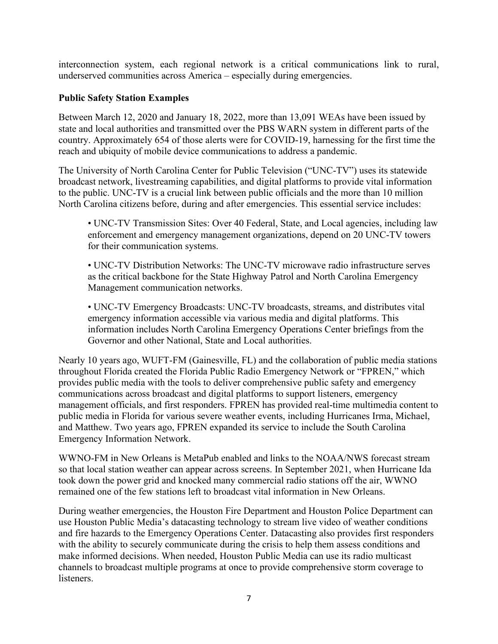interconnection system, each regional network is a critical communications link to rural, underserved communities across America – especially during emergencies.

#### **Public Safety Station Examples**

Between March 12, 2020 and January 18, 2022, more than 13,091 WEAs have been issued by state and local authorities and transmitted over the PBS WARN system in different parts of the country. Approximately 654 of those alerts were for COVID-19, harnessing for the first time the reach and ubiquity of mobile device communications to address a pandemic.

The University of North Carolina Center for Public Television ("UNC-TV") uses its statewide broadcast network, livestreaming capabilities, and digital platforms to provide vital information to the public. UNC-TV is a crucial link between public officials and the more than 10 million North Carolina citizens before, during and after emergencies. This essential service includes:

• UNC-TV Transmission Sites: Over 40 Federal, State, and Local agencies, including law enforcement and emergency management organizations, depend on 20 UNC-TV towers for their communication systems.

• UNC-TV Distribution Networks: The UNC-TV microwave radio infrastructure serves as the critical backbone for the State Highway Patrol and North Carolina Emergency Management communication networks.

• UNC-TV Emergency Broadcasts: UNC-TV broadcasts, streams, and distributes vital emergency information accessible via various media and digital platforms. This information includes North Carolina Emergency Operations Center briefings from the Governor and other National, State and Local authorities.

Nearly 10 years ago, WUFT-FM (Gainesville, FL) and the collaboration of public media stations throughout Florida created the Florida Public Radio Emergency Network or "FPREN," which provides public media with the tools to deliver comprehensive public safety and emergency communications across broadcast and digital platforms to support listeners, emergency management officials, and first responders. FPREN has provided real-time multimedia content to public media in Florida for various severe weather events, including Hurricanes Irma, Michael, and Matthew. Two years ago, FPREN expanded its service to include the South Carolina Emergency Information Network.

WWNO-FM in New Orleans is MetaPub enabled and links to the NOAA/NWS forecast stream so that local station weather can appear across screens. In September 2021, when Hurricane Ida took down the power grid and knocked many commercial radio stations off the air, WWNO remained one of the few stations left to broadcast vital information in New Orleans.

During weather emergencies, the Houston Fire Department and Houston Police Department can use Houston Public Media's datacasting technology to stream live video of weather conditions and fire hazards to the Emergency Operations Center. Datacasting also provides first responders with the ability to securely communicate during the crisis to help them assess conditions and make informed decisions. When needed, Houston Public Media can use its radio multicast channels to broadcast multiple programs at once to provide comprehensive storm coverage to listeners.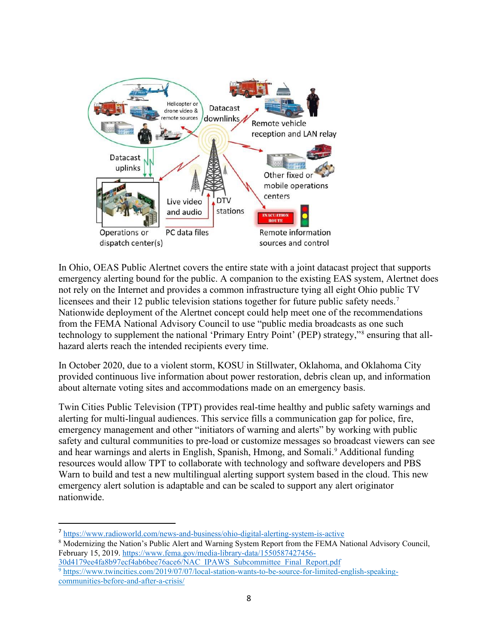

In Ohio, OEAS Public Alertnet covers the entire state with a joint datacast project that supports emergency alerting bound for the public. A companion to the existing EAS system, Alertnet does not rely on the Internet and provides a common infrastructure tying all eight Ohio public TV licensees and their 12 public television stations together for future public safety needs.<sup>[7](#page-8-0)</sup> Nationwide deployment of the Alertnet concept could help meet one of the recommendations from the FEMA National Advisory Council to use "public media broadcasts as one such technology to supplement the national 'Primary Entry Point' (PEP) strategy,"[8](#page-8-1) ensuring that allhazard alerts reach the intended recipients every time.

In October 2020, due to a violent storm, KOSU in Stillwater, Oklahoma, and Oklahoma City provided continuous live information about power restoration, debris clean up, and information about alternate voting sites and accommodations made on an emergency basis.

Twin Cities Public Television (TPT) provides real-time healthy and public safety warnings and alerting for multi-lingual audiences. This service fills a communication gap for police, fire, emergency management and other "initiators of warning and alerts" by working with public safety and cultural communities to pre-load or customize messages so broadcast viewers can see and hear warnings and alerts in English, Spanish, Hmong, and Somali. [9](#page-8-2) Additional funding resources would allow TPT to collaborate with technology and software developers and PBS Warn to build and test a new multilingual alerting support system based in the cloud. This new emergency alert solution is adaptable and can be scaled to support any alert originator nationwide.

- [30d4179ee4fa8b97ecf4ab6bee76ace6/NAC\\_IPAWS\\_Subcommittee\\_Final\\_Report.pdf](https://www.fema.gov/media-library-data/1550587427456-30d4179ee4fa8b97ecf4ab6bee76ace6/NAC_IPAWS_Subcommittee_Final_Report.pdf)
- <span id="page-8-2"></span><sup>9</sup> [https://www.twincities.com/2019/07/07/local-station-wants-to-be-source-for-limited-english-speaking](https://urldefense.proofpoint.com/v2/url?u=https-3A__www.twincities.com_2019_07_07_local-2Dstation-2Dwants-2Dto-2Dbe-2Dsource-2Dfor-2Dlimited-2Denglish-2Dspeaking-2Dcommunities-2Dbefore-2Dand-2Dafter-2Da-2Dcrisis_&d=DwMFAg&c=QX2OfGk7aRC3kh1nmtbeQQ&r=MULS18j2W2wdX6hr6pZZlw&m=LfpqjIwhiUA1blBkq5FC-gpz43D2Ep-lGoPHA_uwp80&s=nQwECKdONL-LUFc6KA3Bn_5uAad4tBn6a36NbrlnNCQ&e=)[communities-before-and-after-a-crisis/](https://urldefense.proofpoint.com/v2/url?u=https-3A__www.twincities.com_2019_07_07_local-2Dstation-2Dwants-2Dto-2Dbe-2Dsource-2Dfor-2Dlimited-2Denglish-2Dspeaking-2Dcommunities-2Dbefore-2Dand-2Dafter-2Da-2Dcrisis_&d=DwMFAg&c=QX2OfGk7aRC3kh1nmtbeQQ&r=MULS18j2W2wdX6hr6pZZlw&m=LfpqjIwhiUA1blBkq5FC-gpz43D2Ep-lGoPHA_uwp80&s=nQwECKdONL-LUFc6KA3Bn_5uAad4tBn6a36NbrlnNCQ&e=)

<span id="page-8-0"></span><sup>7</sup> <https://www.radioworld.com/news-and-business/ohio-digital-alerting-system-is-active>

<span id="page-8-1"></span><sup>&</sup>lt;sup>8</sup> Modernizing the Nation's Public Alert and Warning System Report from the FEMA National Advisory Council, February 15, 2019. [https://www.fema.gov/media-library-data/1550587427456-](https://www.fema.gov/media-library-data/1550587427456-30d4179ee4fa8b97ecf4ab6bee76ace6/NAC_IPAWS_Subcommittee_Final_Report.pdf)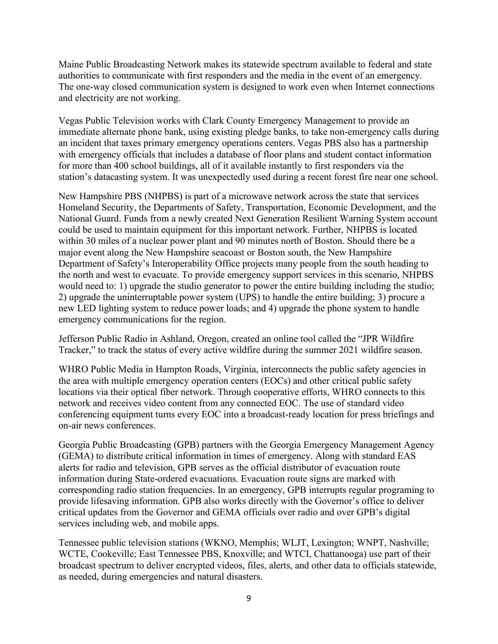[Maine Public](http://mainepublic.org/#stream/0) Broadcasting Network makes its statewide spectrum available to federal and state authorities to communicate with first responders and the media in the event of an emergency. The one-way closed communication system is designed to work even when Internet connections and electricity are not working.

Vegas Public Television works with Clark County Emergency Management to provide an immediate alternate phone bank, using existing pledge banks, to take non-emergency calls during an incident that taxes primary emergency operations centers. Vegas PBS also has a partnership with emergency officials that includes a database of floor plans and student contact information for more than 400 school buildings, all of it available instantly to first responders via the station's datacasting system. It was unexpectedly used during a recent forest fire near one school.

New Hampshire PBS (NHPBS) is part of a microwave network across the state that services Homeland Security, the Departments of Safety, Transportation, Economic Development, and the National Guard. Funds from a newly created Next Generation Resilient Warning System account could be used to maintain equipment for this important network. Further, NHPBS is located within 30 miles of a nuclear power plant and 90 minutes north of Boston. Should there be a major event along the New Hampshire seacoast or Boston south, the New Hampshire Department of Safety's Interoperability Office projects many people from the south heading to the north and west to evacuate. To provide emergency support services in this scenario, NHPBS would need to: 1) upgrade the studio generator to power the entire building including the studio; 2) upgrade the uninterruptable power system (UPS) to handle the entire building; 3) procure a new LED lighting system to reduce power loads; and 4) upgrade the phone system to handle emergency communications for the region.

Jefferson Public Radio in Ashland, Oregon, created an online tool called the "JPR Wildfire Tracker," to track the status of every active wildfire during the summer 2021 wildfire season.

WHRO Public Media in Hampton Roads, Virginia, interconnects the public safety agencies in the area with multiple emergency operation centers (EOCs) and other critical public safety locations via their optical fiber network. Through cooperative efforts, WHRO connects to this network and receives video content from any connected EOC. The use of standard video conferencing equipment turns every EOC into a broadcast-ready location for press briefings and on-air news conferences.

Georgia Public Broadcasting (GPB) partners with the Georgia Emergency Management Agency (GEMA) to distribute critical information in times of emergency. Along with standard EAS alerts for radio and television, GPB serves as the official distributor of evacuation route information during State-ordered evacuations. Evacuation route signs are marked with corresponding radio station frequencies. In an emergency, GPB interrupts regular programing to provide lifesaving information. GPB also works directly with the Governor's office to deliver critical updates from the Governor and GEMA officials over radio and over GPB's digital services including web, and mobile apps.

Tennessee public television stations (WKNO, Memphis; WLJT, Lexington; WNPT, Nashville; WCTE, Cookeville; East Tennessee PBS, Knoxville; and WTCI, Chattanooga) use part of their broadcast spectrum to deliver encrypted videos, files, alerts, and other data to officials statewide, as needed, during emergencies and natural disasters.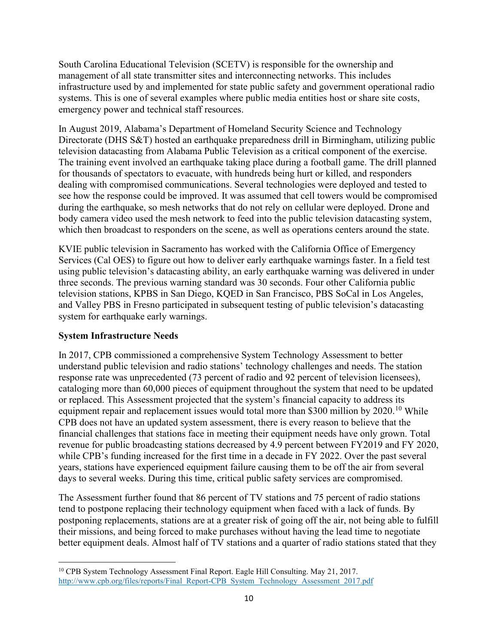South Carolina Educational Television (SCETV) is responsible for the ownership and management of all state transmitter sites and interconnecting networks. This includes infrastructure used by and implemented for state public safety and government operational radio systems. This is one of several examples where public media entities host or share site costs, emergency power and technical staff resources.

In August 2019, Alabama's Department of Homeland Security Science and Technology Directorate (DHS S&T) hosted an earthquake preparedness drill in Birmingham, utilizing public television datacasting from Alabama Public Television as a critical component of the exercise. The training event involved an earthquake taking place during a football game. The drill planned for thousands of spectators to evacuate, with hundreds being hurt or killed, and responders dealing with compromised communications. Several technologies were deployed and tested to see how the response could be improved. It was assumed that cell towers would be compromised during the earthquake, so mesh networks that do not rely on cellular were deployed. Drone and body camera video used the mesh network to feed into the public television datacasting system, which then broadcast to responders on the scene, as well as operations centers around the state.

KVIE public television in Sacramento has worked with the California Office of Emergency Services (Cal OES) to figure out how to deliver early earthquake warnings faster. In a field test using public television's datacasting ability, an early earthquake warning was delivered in under three seconds. The previous warning standard was 30 seconds. Four other California public television stations, KPBS in San Diego, KQED in San Francisco, PBS SoCal in Los Angeles, and Valley PBS in Fresno participated in subsequent testing of public television's datacasting system for earthquake early warnings.

#### **System Infrastructure Needs**

In 2017, CPB commissioned a comprehensive System Technology Assessment to better understand public television and radio stations' technology challenges and needs. The station response rate was unprecedented (73 percent of radio and 92 percent of television licensees), cataloging more than 60,000 pieces of equipment throughout the system that need to be updated or replaced. This Assessment projected that the system's financial capacity to address its equipment repair and replacement issues would total more than \$300 million by 2020.<sup>[10](#page-10-0)</sup> While CPB does not have an updated system assessment, there is every reason to believe that the financial challenges that stations face in meeting their equipment needs have only grown. Total revenue for public broadcasting stations decreased by 4.9 percent between FY2019 and FY 2020, while CPB's funding increased for the first time in a decade in FY 2022. Over the past several years, stations have experienced equipment failure causing them to be off the air from several days to several weeks. During this time, critical public safety services are compromised.

The Assessment further found that 86 percent of TV stations and 75 percent of radio stations tend to postpone replacing their technology equipment when faced with a lack of funds. By postponing replacements, stations are at a greater risk of going off the air, not being able to fulfill their missions, and being forced to make purchases without having the lead time to negotiate better equipment deals. Almost half of TV stations and a quarter of radio stations stated that they

<span id="page-10-0"></span><sup>&</sup>lt;sup>10</sup> CPB System Technology Assessment Final Report. Eagle Hill Consulting. May 21, 2017. [http://www.cpb.org/files/reports/Final\\_Report-CPB\\_System\\_Technology\\_Assessment\\_2017.pdf](http://www.cpb.org/files/reports/Final_Report-CPB_System_Technology_Assessment_2017.pdf)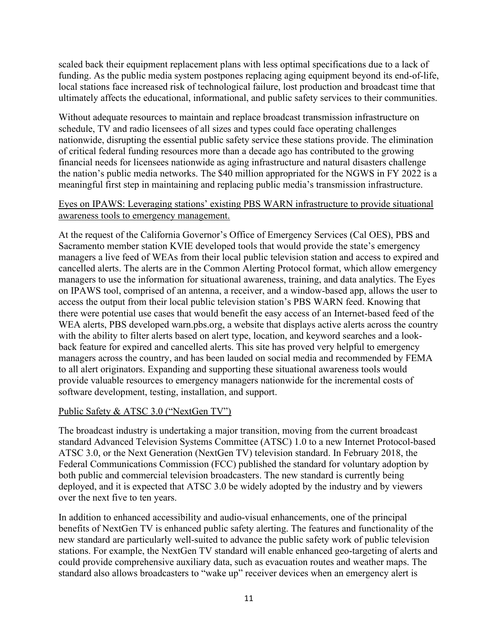scaled back their equipment replacement plans with less optimal specifications due to a lack of funding. As the public media system postpones replacing aging equipment beyond its end-of-life, local stations face increased risk of technological failure, lost production and broadcast time that ultimately affects the educational, informational, and public safety services to their communities.

Without adequate resources to maintain and replace broadcast transmission infrastructure on schedule, TV and radio licensees of all sizes and types could face operating challenges nationwide, disrupting the essential public safety service these stations provide. The elimination of critical federal funding resources more than a decade ago has contributed to the growing financial needs for licensees nationwide as aging infrastructure and natural disasters challenge the nation's public media networks. The \$40 million appropriated for the NGWS in FY 2022 is a meaningful first step in maintaining and replacing public media's transmission infrastructure.

#### Eyes on IPAWS: Leveraging stations' existing PBS WARN infrastructure to provide situational awareness tools to emergency management.

At the request of the California Governor's Office of Emergency Services (Cal OES), PBS and Sacramento member station KVIE developed tools that would provide the state's emergency managers a live feed of WEAs from their local public television station and access to expired and cancelled alerts. The alerts are in the Common Alerting Protocol format, which allow emergency managers to use the information for situational awareness, training, and data analytics. The Eyes on IPAWS tool, comprised of an antenna, a receiver, and a window-based app, allows the user to access the output from their local public television station's PBS WARN feed. Knowing that there were potential use cases that would benefit the easy access of an Internet-based feed of the WEA alerts, PBS developed warn.pbs.org, a website that displays active alerts across the country with the ability to filter alerts based on alert type, location, and keyword searches and a lookback feature for expired and cancelled alerts. This site has proved very helpful to emergency managers across the country, and has been lauded on social media and recommended by FEMA to all alert originators. Expanding and supporting these situational awareness tools would provide valuable resources to emergency managers nationwide for the incremental costs of software development, testing, installation, and support.

#### Public Safety & ATSC 3.0 ("NextGen TV")

The broadcast industry is undertaking a major transition, moving from the current broadcast standard Advanced Television Systems Committee (ATSC) 1.0 to a new Internet Protocol-based ATSC 3.0, or the Next Generation (NextGen TV) television standard. In February 2018, the Federal Communications Commission (FCC) published the standard for voluntary adoption by both public and commercial television broadcasters. The new standard is currently being deployed, and it is expected that ATSC 3.0 be widely adopted by the industry and by viewers over the next five to ten years.

In addition to enhanced accessibility and audio-visual enhancements, one of the principal benefits of NextGen TV is enhanced public safety alerting. The features and functionality of the new standard are particularly well-suited to advance the public safety work of public television stations. For example, the NextGen TV standard will enable enhanced geo-targeting of alerts and could provide comprehensive auxiliary data, such as evacuation routes and weather maps. The standard also allows broadcasters to "wake up" receiver devices when an emergency alert is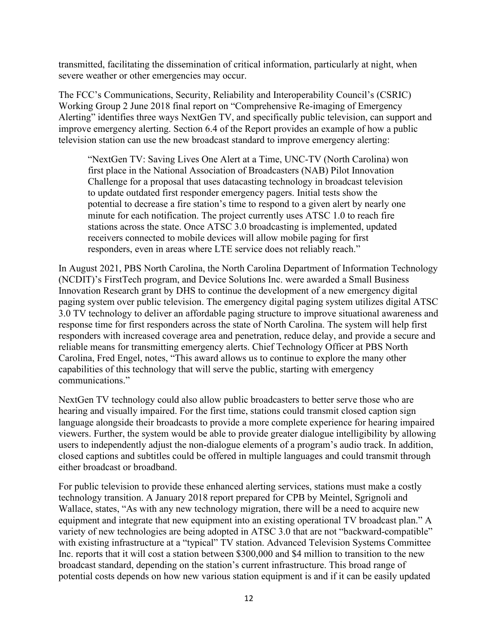transmitted, facilitating the dissemination of critical information, particularly at night, when severe weather or other emergencies may occur.

The FCC's Communications, Security, Reliability and Interoperability Council's (CSRIC) Working Group 2 June 2018 final report on "Comprehensive Re-imaging of Emergency Alerting" identifies three ways NextGen TV, and specifically public television, can support and improve emergency alerting. Section 6.4 of the Report provides an example of how a public television station can use the new broadcast standard to improve emergency alerting:

"NextGen TV: Saving Lives One Alert at a Time, UNC-TV (North Carolina) won first place in the National Association of Broadcasters (NAB) Pilot Innovation Challenge for a proposal that uses datacasting technology in broadcast television to update outdated first responder emergency pagers. Initial tests show the potential to decrease a fire station's time to respond to a given alert by nearly one minute for each notification. The project currently uses ATSC 1.0 to reach fire stations across the state. Once ATSC 3.0 broadcasting is implemented, updated receivers connected to mobile devices will allow mobile paging for first responders, even in areas where LTE service does not reliably reach."

In August 2021, PBS North Carolina, the North Carolina Department of Information Technology (NCDIT)'s FirstTech program, and Device Solutions Inc. were awarded a Small Business Innovation Research grant by DHS to continue the development of a new emergency digital paging system over public television. The emergency digital paging system utilizes digital ATSC 3.0 TV technology to deliver an affordable paging structure to improve situational awareness and response time for first responders across the state of North Carolina. The system will help first responders with increased coverage area and penetration, reduce delay, and provide a secure and reliable means for transmitting emergency alerts. Chief Technology Officer at PBS North Carolina, Fred Engel, notes, "This award allows us to continue to explore the many other capabilities of this technology that will serve the public, starting with emergency communications."

NextGen TV technology could also allow public broadcasters to better serve those who are hearing and visually impaired. For the first time, stations could transmit closed caption sign language alongside their broadcasts to provide a more complete experience for hearing impaired viewers. Further, the system would be able to provide greater dialogue intelligibility by allowing users to independently adjust the non-dialogue elements of a program's audio track. In addition, closed captions and subtitles could be offered in multiple languages and could transmit through either broadcast or broadband.

For public television to provide these enhanced alerting services, stations must make a costly technology transition. A January 2018 report prepared for CPB by Meintel, Sgrignoli and Wallace, states, "As with any new technology migration, there will be a need to acquire new equipment and integrate that new equipment into an existing operational TV broadcast plan." A variety of new technologies are being adopted in ATSC 3.0 that are not "backward-compatible" with existing infrastructure at a "typical" TV station. Advanced Television Systems Committee Inc. reports that it will cost a station between \$300,000 and \$4 million to transition to the new broadcast standard, depending on the station's current infrastructure. This broad range of potential costs depends on how new various station equipment is and if it can be easily updated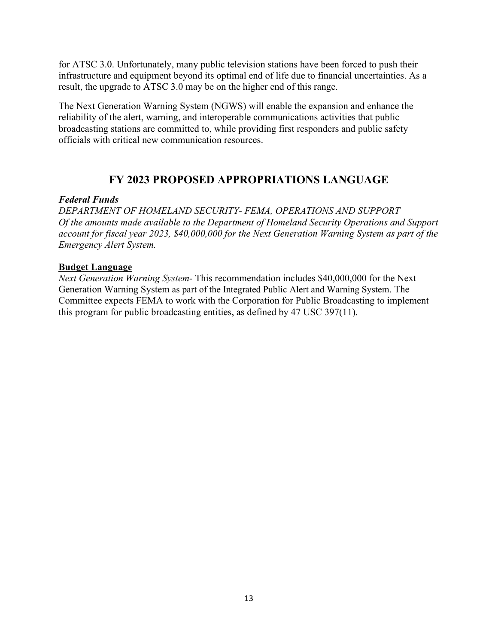for ATSC 3.0. Unfortunately, many public television stations have been forced to push their infrastructure and equipment beyond its optimal end of life due to financial uncertainties. As a result, the upgrade to ATSC 3.0 may be on the higher end of this range.

The Next Generation Warning System (NGWS) will enable the expansion and enhance the reliability of the alert, warning, and interoperable communications activities that public broadcasting stations are committed to, while providing first responders and public safety officials with critical new communication resources.

## **FY 2023 PROPOSED APPROPRIATIONS LANGUAGE**

#### *Federal Funds*

*DEPARTMENT OF HOMELAND SECURITY- FEMA, OPERATIONS AND SUPPORT Of the amounts made available to the Department of Homeland Security Operations and Support account for fiscal year 2023, \$40,000,000 for the Next Generation Warning System as part of the Emergency Alert System.* 

#### **Budget Language**

*Next Generation Warning System-* This recommendation includes \$40,000,000 for the Next Generation Warning System as part of the Integrated Public Alert and Warning System. The Committee expects FEMA to work with the Corporation for Public Broadcasting to implement this program for public broadcasting entities, as defined by 47 USC 397(11).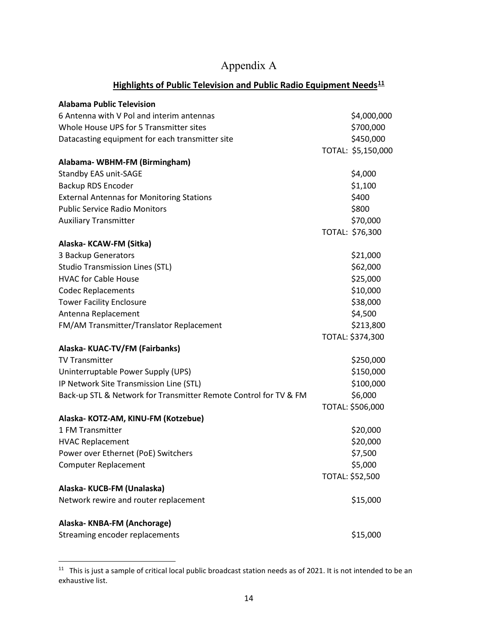# Appendix A

### **Highlights of Public Television and Public Radio Equipment Needs[11](#page-14-0)**

| <b>Alabama Public Television</b>                                 |                    |
|------------------------------------------------------------------|--------------------|
| 6 Antenna with V Pol and interim antennas                        | \$4,000,000        |
| Whole House UPS for 5 Transmitter sites                          | \$700,000          |
| Datacasting equipment for each transmitter site                  | \$450,000          |
|                                                                  | TOTAL: \$5,150,000 |
| Alabama-WBHM-FM (Birmingham)                                     |                    |
| Standby EAS unit-SAGE                                            | \$4,000            |
| Backup RDS Encoder                                               | \$1,100            |
| <b>External Antennas for Monitoring Stations</b>                 | \$400              |
| <b>Public Service Radio Monitors</b>                             | \$800              |
| <b>Auxiliary Transmitter</b>                                     | \$70,000           |
|                                                                  | TOTAL: \$76,300    |
| Alaska-KCAW-FM (Sitka)                                           |                    |
| 3 Backup Generators                                              | \$21,000           |
| <b>Studio Transmission Lines (STL)</b>                           | \$62,000           |
| <b>HVAC for Cable House</b>                                      | \$25,000           |
| <b>Codec Replacements</b>                                        | \$10,000           |
| <b>Tower Facility Enclosure</b>                                  | \$38,000           |
| Antenna Replacement                                              | \$4,500            |
| FM/AM Transmitter/Translator Replacement                         | \$213,800          |
|                                                                  | TOTAL: \$374,300   |
| Alaska-KUAC-TV/FM (Fairbanks)                                    |                    |
| <b>TV Transmitter</b>                                            | \$250,000          |
| Uninterruptable Power Supply (UPS)                               | \$150,000          |
| IP Network Site Transmission Line (STL)                          | \$100,000          |
| Back-up STL & Network for Transmitter Remote Control for TV & FM | \$6,000            |
|                                                                  | TOTAL: \$506,000   |
| Alaska-KOTZ-AM, KINU-FM (Kotzebue)                               |                    |
| 1 FM Transmitter                                                 | \$20,000           |
| <b>HVAC Replacement</b>                                          | \$20,000           |
| Power over Ethernet (PoE) Switchers                              | \$7,500            |
| Computer Replacement                                             | \$5,000            |
|                                                                  | TOTAL: \$52,500    |
| Alaska-KUCB-FM (Unalaska)                                        |                    |
| Network rewire and router replacement                            | \$15,000           |
| Alaska-KNBA-FM (Anchorage)                                       |                    |
| Streaming encoder replacements                                   | \$15,000           |

<span id="page-14-0"></span> $11$  This is just a sample of critical local public broadcast station needs as of 2021. It is not intended to be an exhaustive list.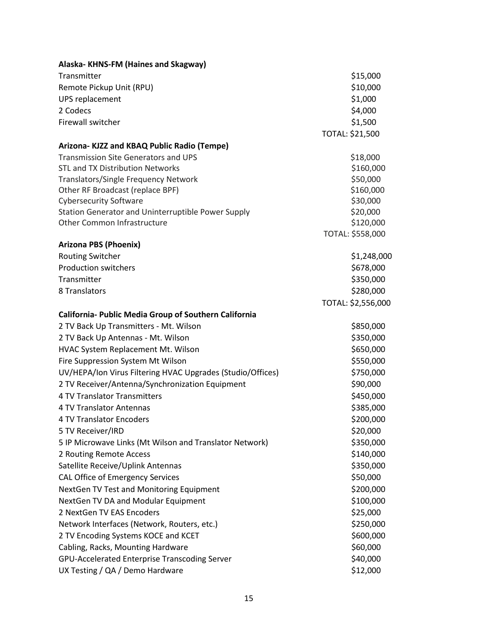| Alaska-KHNS-FM (Haines and Skagway)                        |                    |
|------------------------------------------------------------|--------------------|
| Transmitter                                                | \$15,000           |
| Remote Pickup Unit (RPU)                                   | \$10,000           |
| UPS replacement                                            | \$1,000            |
| 2 Codecs                                                   | \$4,000            |
| Firewall switcher                                          | \$1,500            |
|                                                            | TOTAL: \$21,500    |
| Arizona-KJZZ and KBAQ Public Radio (Tempe)                 |                    |
| <b>Transmission Site Generators and UPS</b>                | \$18,000           |
| <b>STL and TX Distribution Networks</b>                    | \$160,000          |
| Translators/Single Frequency Network                       | \$50,000           |
| Other RF Broadcast (replace BPF)                           | \$160,000          |
| <b>Cybersecurity Software</b>                              | \$30,000           |
| Station Generator and Uninterruptible Power Supply         | \$20,000           |
| Other Common Infrastructure                                | \$120,000          |
|                                                            | TOTAL: \$558,000   |
| <b>Arizona PBS (Phoenix)</b>                               |                    |
| <b>Routing Switcher</b>                                    | \$1,248,000        |
| <b>Production switchers</b>                                | \$678,000          |
| Transmitter                                                | \$350,000          |
| 8 Translators                                              | \$280,000          |
|                                                            | TOTAL: \$2,556,000 |
| California- Public Media Group of Southern California      |                    |
| 2 TV Back Up Transmitters - Mt. Wilson                     | \$850,000          |
| 2 TV Back Up Antennas - Mt. Wilson                         | \$350,000          |
| HVAC System Replacement Mt. Wilson                         | \$650,000          |
| Fire Suppression System Mt Wilson                          | \$550,000          |
| UV/HEPA/Ion Virus Filtering HVAC Upgrades (Studio/Offices) | \$750,000          |
| 2 TV Receiver/Antenna/Synchronization Equipment            | \$90,000           |
| 4 TV Translator Transmitters                               | \$450,000          |
| 4 TV Translator Antennas                                   | \$385,000          |
| 4 TV Translator Encoders                                   | \$200,000          |
| 5 TV Receiver/IRD                                          | \$20,000           |
| 5 IP Microwave Links (Mt Wilson and Translator Network)    | \$350,000          |
| 2 Routing Remote Access                                    | \$140,000          |
| Satellite Receive/Uplink Antennas                          | \$350,000          |
| CAL Office of Emergency Services                           | \$50,000           |
| NextGen TV Test and Monitoring Equipment                   | \$200,000          |
| NextGen TV DA and Modular Equipment                        | \$100,000          |
| 2 NextGen TV EAS Encoders                                  | \$25,000           |
| Network Interfaces (Network, Routers, etc.)                | \$250,000          |
| 2 TV Encoding Systems KOCE and KCET                        | \$600,000          |
| Cabling, Racks, Mounting Hardware                          | \$60,000           |
| GPU-Accelerated Enterprise Transcoding Server              | \$40,000           |
| UX Testing / QA / Demo Hardware                            | \$12,000           |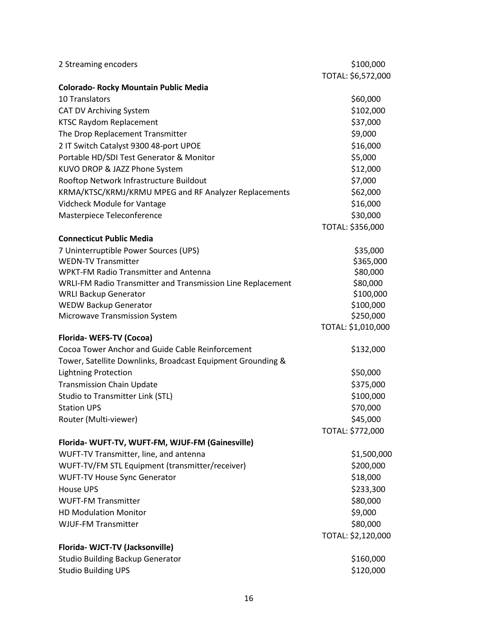| 2 Streaming encoders                                        | \$100,000          |
|-------------------------------------------------------------|--------------------|
|                                                             | TOTAL: \$6,572,000 |
| Colorado- Rocky Mountain Public Media                       |                    |
| 10 Translators                                              | \$60,000           |
| <b>CAT DV Archiving System</b>                              | \$102,000          |
| <b>KTSC Raydom Replacement</b>                              | \$37,000           |
| The Drop Replacement Transmitter                            | \$9,000            |
| 2 IT Switch Catalyst 9300 48-port UPOE                      | \$16,000           |
| Portable HD/SDI Test Generator & Monitor                    | \$5,000            |
| KUVO DROP & JAZZ Phone System                               | \$12,000           |
| Rooftop Network Infrastructure Buildout                     | \$7,000            |
| KRMA/KTSC/KRMJ/KRMU MPEG and RF Analyzer Replacements       | \$62,000           |
| Vidcheck Module for Vantage                                 | \$16,000           |
| Masterpiece Teleconference                                  | \$30,000           |
|                                                             | TOTAL: \$356,000   |
| <b>Connecticut Public Media</b>                             |                    |
| 7 Uninterruptible Power Sources (UPS)                       | \$35,000           |
| <b>WEDN-TV Transmitter</b>                                  | \$365,000          |
| <b>WPKT-FM Radio Transmitter and Antenna</b>                | \$80,000           |
| WRLI-FM Radio Transmitter and Transmission Line Replacement | \$80,000           |
| <b>WRLI Backup Generator</b>                                | \$100,000          |
| <b>WEDW Backup Generator</b>                                | \$100,000          |
| Microwave Transmission System                               | \$250,000          |
|                                                             | TOTAL: \$1,010,000 |
| Florida-WEFS-TV (Cocoa)                                     |                    |
| Cocoa Tower Anchor and Guide Cable Reinforcement            | \$132,000          |
| Tower, Satellite Downlinks, Broadcast Equipment Grounding & |                    |
| <b>Lightning Protection</b>                                 | \$50,000           |
| <b>Transmission Chain Update</b>                            | \$375,000          |
| <b>Studio to Transmitter Link (STL)</b>                     | \$100,000          |
| <b>Station UPS</b>                                          | \$70,000           |
| Router (Multi-viewer)                                       | \$45,000           |
|                                                             | TOTAL: \$772,000   |
| Florida- WUFT-TV, WUFT-FM, WJUF-FM (Gainesville)            |                    |
| WUFT-TV Transmitter, line, and antenna                      | \$1,500,000        |
| WUFT-TV/FM STL Equipment (transmitter/receiver)             | \$200,000          |
| <b>WUFT-TV House Sync Generator</b>                         | \$18,000           |
| <b>House UPS</b>                                            | \$233,300          |
| <b>WUFT-FM Transmitter</b>                                  | \$80,000           |
| <b>HD Modulation Monitor</b>                                | \$9,000            |
| <b>WJUF-FM Transmitter</b>                                  | \$80,000           |
|                                                             | TOTAL: \$2,120,000 |
| Florida-WJCT-TV (Jacksonville)                              |                    |
| <b>Studio Building Backup Generator</b>                     | \$160,000          |
| <b>Studio Building UPS</b>                                  | \$120,000          |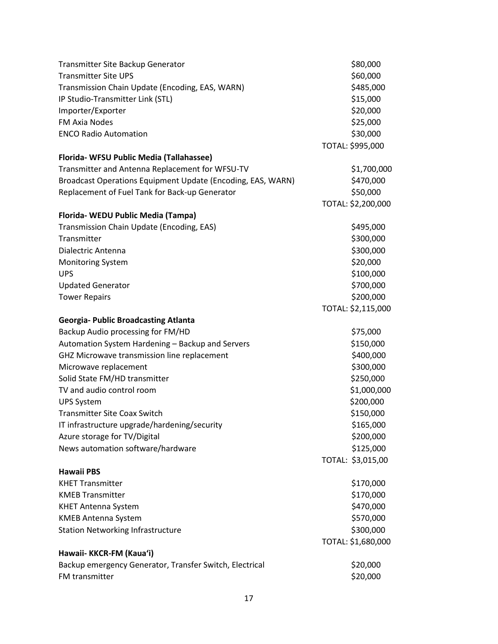| Transmitter Site Backup Generator                           | \$80,000           |
|-------------------------------------------------------------|--------------------|
| <b>Transmitter Site UPS</b>                                 | \$60,000           |
| Transmission Chain Update (Encoding, EAS, WARN)             | \$485,000          |
| IP Studio-Transmitter Link (STL)                            | \$15,000           |
| Importer/Exporter                                           | \$20,000           |
| <b>FM Axia Nodes</b>                                        | \$25,000           |
| <b>ENCO Radio Automation</b>                                | \$30,000           |
|                                                             | TOTAL: \$995,000   |
| Florida- WFSU Public Media (Tallahassee)                    |                    |
| Transmitter and Antenna Replacement for WFSU-TV             | \$1,700,000        |
| Broadcast Operations Equipment Update (Encoding, EAS, WARN) | \$470,000          |
| Replacement of Fuel Tank for Back-up Generator              | \$50,000           |
|                                                             | TOTAL: \$2,200,000 |
| Florida- WEDU Public Media (Tampa)                          |                    |
| Transmission Chain Update (Encoding, EAS)                   | \$495,000          |
| Transmitter                                                 | \$300,000          |
| Dialectric Antenna                                          | \$300,000          |
| <b>Monitoring System</b>                                    | \$20,000           |
| <b>UPS</b>                                                  | \$100,000          |
| <b>Updated Generator</b>                                    | \$700,000          |
| <b>Tower Repairs</b>                                        | \$200,000          |
|                                                             | TOTAL: \$2,115,000 |
| <b>Georgia- Public Broadcasting Atlanta</b>                 |                    |
| Backup Audio processing for FM/HD                           | \$75,000           |
| Automation System Hardening - Backup and Servers            | \$150,000          |
| GHZ Microwave transmission line replacement                 | \$400,000          |
| Microwave replacement                                       | \$300,000          |
| Solid State FM/HD transmitter                               | \$250,000          |
| TV and audio control room                                   | \$1,000,000        |
| <b>UPS System</b>                                           | \$200,000          |
| <b>Transmitter Site Coax Switch</b>                         | \$150,000          |
| IT infrastructure upgrade/hardening/security                | \$165,000          |
| Azure storage for TV/Digital                                | \$200,000          |
| News automation software/hardware                           | \$125,000          |
|                                                             | TOTAL: \$3,015,00  |
| <b>Hawaii PBS</b>                                           |                    |
| <b>KHET Transmitter</b>                                     | \$170,000          |
| <b>KMEB Transmitter</b>                                     | \$170,000          |
| <b>KHET Antenna System</b>                                  | \$470,000          |
| <b>KMEB Antenna System</b>                                  | \$570,000          |
| <b>Station Networking Infrastructure</b>                    | \$300,000          |
|                                                             | TOTAL: \$1,680,000 |
| Hawaii- KKCR-FM (Kaua'i)                                    |                    |
| Backup emergency Generator, Transfer Switch, Electrical     | \$20,000           |
| FM transmitter                                              | \$20,000           |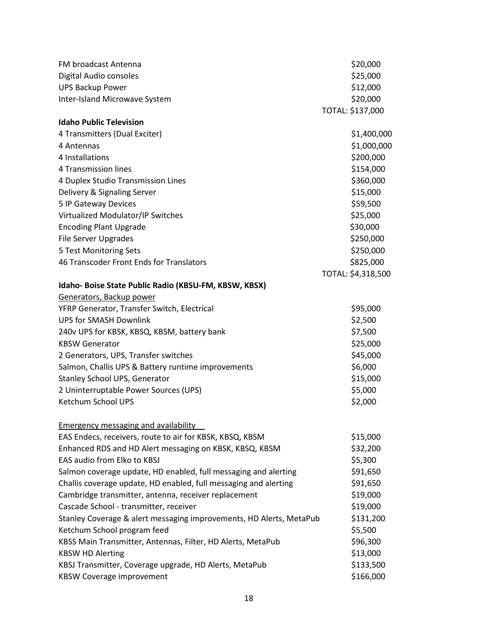| FM broadcast Antenna                                                | \$20,000           |
|---------------------------------------------------------------------|--------------------|
| Digital Audio consoles                                              | \$25,000           |
| <b>UPS Backup Power</b>                                             | \$12,000           |
| Inter-Island Microwave System                                       | \$20,000           |
|                                                                     | TOTAL: \$137,000   |
| <b>Idaho Public Television</b>                                      |                    |
| 4 Transmitters (Dual Exciter)                                       | \$1,400,000        |
| 4 Antennas                                                          | \$1,000,000        |
| 4 Installations                                                     | \$200,000          |
| 4 Transmission lines                                                | \$154,000          |
| 4 Duplex Studio Transmission Lines                                  | \$360,000          |
| Delivery & Signaling Server                                         | \$15,000           |
| 5 IP Gateway Devices                                                | \$59,500           |
| Virtualized Modulator/IP Switches                                   | \$25,000           |
| <b>Encoding Plant Upgrade</b>                                       | \$30,000           |
| File Server Upgrades                                                | \$250,000          |
| 5 Test Monitoring Sets                                              | \$250,000          |
| 46 Transcoder Front Ends for Translators                            | \$825,000          |
|                                                                     | TOTAL: \$4,318,500 |
| Idaho- Boise State Public Radio (KBSU-FM, KBSW, KBSX)               |                    |
| Generators, Backup power                                            |                    |
| YFRP Generator, Transfer Switch, Electrical                         | \$95,000           |
| <b>UPS for SMASH Downlink</b>                                       | \$2,500            |
| 240v UPS for KBSK, KBSQ, KBSM, battery bank                         | \$7,500            |
| <b>KBSW Generator</b>                                               | \$25,000           |
| 2 Generators, UPS, Transfer switches                                | \$45,000           |
| Salmon, Challis UPS & Battery runtime improvements                  | \$6,000            |
| Stanley School UPS, Generator                                       | \$15,000           |
| 2 Uninterruptable Power Sources (UPS)                               | \$5,000            |
| Ketchum School UPS                                                  | \$2,000            |
|                                                                     |                    |
| <b>Emergency messaging and availability</b>                         |                    |
| EAS Endecs, receivers, route to air for KBSK, KBSQ, KBSM            | \$15,000           |
| Enhanced RDS and HD Alert messaging on KBSK, KBSQ, KBSM             | \$32,200           |
| EAS audio from Elko to KBSJ                                         | \$5,300            |
| Salmon coverage update, HD enabled, full messaging and alerting     | \$91,650           |
| Challis coverage update, HD enabled, full messaging and alerting    | \$91,650           |
| Cambridge transmitter, antenna, receiver replacement                | \$19,000           |
| Cascade School - transmitter, receiver                              | \$19,000           |
| Stanley Coverage & alert messaging improvements, HD Alerts, MetaPub | \$131,200          |
| Ketchum School program feed                                         | \$5,500            |
| KBSS Main Transmitter, Antennas, Filter, HD Alerts, MetaPub         | \$96,300           |
| <b>KBSW HD Alerting</b>                                             | \$13,000           |
| KBSJ Transmitter, Coverage upgrade, HD Alerts, MetaPub              | \$133,500          |
| <b>KBSW Coverage improvement</b>                                    | \$166,000          |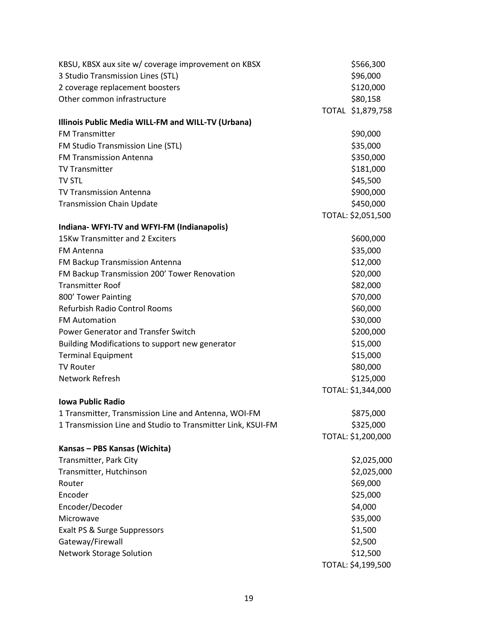| KBSU, KBSX aux site w/ coverage improvement on KBSX         | \$566,300          |
|-------------------------------------------------------------|--------------------|
| 3 Studio Transmission Lines (STL)                           | \$96,000           |
| 2 coverage replacement boosters                             | \$120,000          |
| Other common infrastructure                                 | \$80,158           |
|                                                             | TOTAL \$1,879,758  |
| Illinois Public Media WILL-FM and WILL-TV (Urbana)          |                    |
| <b>FM Transmitter</b>                                       | \$90,000           |
| FM Studio Transmission Line (STL)                           | \$35,000           |
| <b>FM Transmission Antenna</b>                              | \$350,000          |
| <b>TV Transmitter</b>                                       | \$181,000          |
| <b>TV STL</b>                                               | \$45,500           |
| <b>TV Transmission Antenna</b>                              | \$900,000          |
| <b>Transmission Chain Update</b>                            | \$450,000          |
|                                                             | TOTAL: \$2,051,500 |
| Indiana- WFYI-TV and WFYI-FM (Indianapolis)                 |                    |
| 15Kw Transmitter and 2 Exciters                             | \$600,000          |
| <b>FM Antenna</b>                                           | \$35,000           |
| FM Backup Transmission Antenna                              | \$12,000           |
| FM Backup Transmission 200' Tower Renovation                | \$20,000           |
| <b>Transmitter Roof</b>                                     | \$82,000           |
| 800' Tower Painting                                         | \$70,000           |
| Refurbish Radio Control Rooms                               | \$60,000           |
| <b>FM Automation</b>                                        | \$30,000           |
| Power Generator and Transfer Switch                         | \$200,000          |
| Building Modifications to support new generator             | \$15,000           |
| <b>Terminal Equipment</b>                                   | \$15,000           |
| <b>TV Router</b>                                            | \$80,000           |
| Network Refresh                                             | \$125,000          |
|                                                             | TOTAL: \$1,344,000 |
| <b>Iowa Public Radio</b>                                    |                    |
| 1 Transmitter, Transmission Line and Antenna, WOI-FM        | \$875,000          |
| 1 Transmission Line and Studio to Transmitter Link, KSUI-FM | \$325,000          |
|                                                             | TOTAL: \$1,200,000 |
| Kansas - PBS Kansas (Wichita)                               |                    |
| Transmitter, Park City                                      | \$2,025,000        |
| Transmitter, Hutchinson                                     | \$2,025,000        |
| Router                                                      | \$69,000           |
| Encoder                                                     | \$25,000           |
| Encoder/Decoder                                             | \$4,000            |
| Microwave                                                   | \$35,000           |
| Exalt PS & Surge Suppressors                                | \$1,500            |
| Gateway/Firewall                                            | \$2,500            |
| <b>Network Storage Solution</b>                             | \$12,500           |
|                                                             | TOTAL: \$4,199,500 |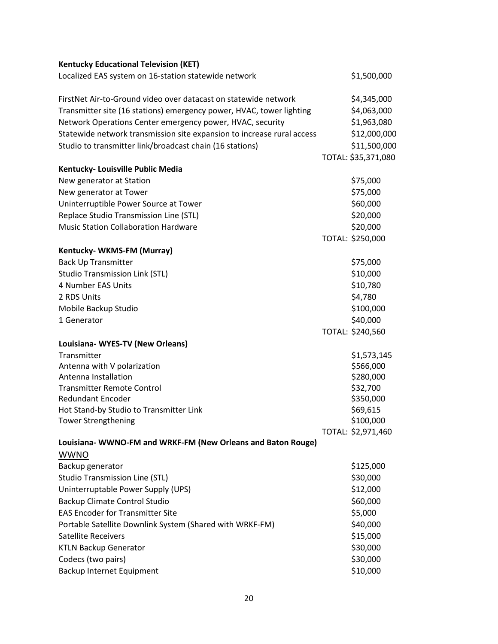| <b>Kentucky Educational Television (KET)</b>                           |                     |
|------------------------------------------------------------------------|---------------------|
| Localized EAS system on 16-station statewide network                   | \$1,500,000         |
| FirstNet Air-to-Ground video over datacast on statewide network        | \$4,345,000         |
| Transmitter site (16 stations) emergency power, HVAC, tower lighting   | \$4,063,000         |
| Network Operations Center emergency power, HVAC, security              | \$1,963,080         |
| Statewide network transmission site expansion to increase rural access | \$12,000,000        |
| Studio to transmitter link/broadcast chain (16 stations)               | \$11,500,000        |
|                                                                        | TOTAL: \$35,371,080 |
| Kentucky- Louisville Public Media                                      |                     |
| New generator at Station                                               | \$75,000            |
| New generator at Tower                                                 | \$75,000            |
| Uninterruptible Power Source at Tower                                  | \$60,000            |
| Replace Studio Transmission Line (STL)                                 | \$20,000            |
| <b>Music Station Collaboration Hardware</b>                            | \$20,000            |
|                                                                        | TOTAL: \$250,000    |
| Kentucky-WKMS-FM (Murray)                                              |                     |
| <b>Back Up Transmitter</b>                                             | \$75,000            |
| <b>Studio Transmission Link (STL)</b>                                  | \$10,000            |
| 4 Number EAS Units                                                     | \$10,780            |
| 2 RDS Units                                                            | \$4,780             |
| Mobile Backup Studio                                                   | \$100,000           |
| 1 Generator                                                            | \$40,000            |
|                                                                        | TOTAL: \$240,560    |
| Louisiana-WYES-TV (New Orleans)                                        |                     |
| Transmitter                                                            | \$1,573,145         |
| Antenna with V polarization                                            | \$566,000           |
| Antenna Installation                                                   | \$280,000           |
| <b>Transmitter Remote Control</b>                                      | \$32,700            |
| <b>Redundant Encoder</b>                                               | \$350,000           |
| Hot Stand-by Studio to Transmitter Link                                | \$69,615            |
| <b>Tower Strengthening</b>                                             | \$100,000           |
|                                                                        | TOTAL: \$2,971,460  |
| Louisiana- WWNO-FM and WRKF-FM (New Orleans and Baton Rouge)           |                     |
| <b>WWNO</b>                                                            |                     |
| Backup generator                                                       | \$125,000           |
| <b>Studio Transmission Line (STL)</b>                                  | \$30,000            |
| Uninterruptable Power Supply (UPS)                                     | \$12,000            |
| <b>Backup Climate Control Studio</b>                                   | \$60,000            |
| <b>EAS Encoder for Transmitter Site</b>                                | \$5,000             |
| Portable Satellite Downlink System (Shared with WRKF-FM)               | \$40,000            |
| <b>Satellite Receivers</b>                                             | \$15,000            |
| <b>KTLN Backup Generator</b>                                           | \$30,000            |
| Codecs (two pairs)                                                     | \$30,000            |
| Backup Internet Equipment                                              | \$10,000            |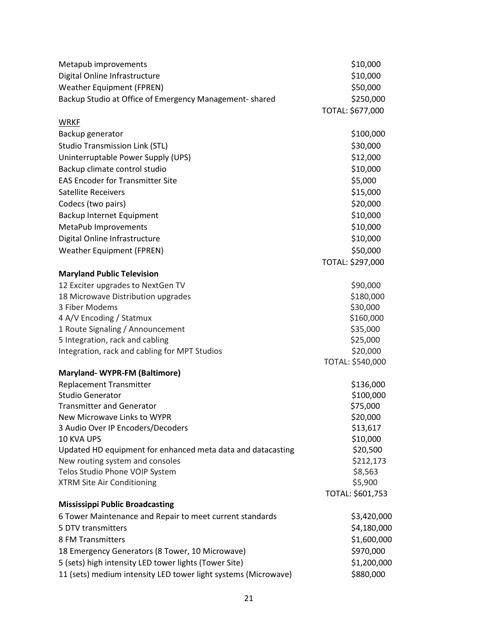| Metapub improvements                                                                           | \$10,000             |
|------------------------------------------------------------------------------------------------|----------------------|
| Digital Online Infrastructure                                                                  | \$10,000             |
| <b>Weather Equipment (FPREN)</b>                                                               | \$50,000             |
| Backup Studio at Office of Emergency Management-shared                                         | \$250,000            |
|                                                                                                | TOTAL: \$677,000     |
| <b>WRKF</b>                                                                                    |                      |
| Backup generator                                                                               | \$100,000            |
| <b>Studio Transmission Link (STL)</b>                                                          | \$30,000             |
| Uninterruptable Power Supply (UPS)                                                             | \$12,000             |
| Backup climate control studio                                                                  | \$10,000             |
| <b>EAS Encoder for Transmitter Site</b>                                                        | \$5,000              |
| <b>Satellite Receivers</b>                                                                     | \$15,000             |
| Codecs (two pairs)                                                                             | \$20,000             |
| Backup Internet Equipment                                                                      | \$10,000             |
| MetaPub Improvements                                                                           | \$10,000             |
| Digital Online Infrastructure                                                                  | \$10,000             |
| <b>Weather Equipment (FPREN)</b>                                                               | \$50,000             |
|                                                                                                | TOTAL: \$297,000     |
| <b>Maryland Public Television</b>                                                              |                      |
| 12 Exciter upgrades to NextGen TV                                                              | \$90,000             |
| 18 Microwave Distribution upgrades                                                             | \$180,000            |
| 3 Fiber Modems                                                                                 | \$30,000             |
| 4 A/V Encoding / Statmux                                                                       | \$160,000            |
| 1 Route Signaling / Announcement                                                               | \$35,000             |
| 5 Integration, rack and cabling                                                                | \$25,000             |
| Integration, rack and cabling for MPT Studios                                                  | \$20,000             |
|                                                                                                | TOTAL: \$540,000     |
| Maryland-WYPR-FM (Baltimore)                                                                   |                      |
| <b>Replacement Transmitter</b>                                                                 | \$136,000            |
| <b>Studio Generator</b>                                                                        | \$100,000            |
| <b>Transmitter and Generator</b>                                                               | \$75,000             |
| New Microwave Links to WYPR                                                                    | \$20,000             |
| 3 Audio Over IP Encoders/Decoders<br><b>10 KVA UPS</b>                                         | \$13,617             |
|                                                                                                | \$10,000<br>\$20,500 |
| Updated HD equipment for enhanced meta data and datacasting<br>New routing system and consoles | \$212,173            |
| Telos Studio Phone VOIP System                                                                 | \$8,563              |
| <b>XTRM Site Air Conditioning</b>                                                              | \$5,900              |
|                                                                                                | TOTAL: \$601,753     |
| <b>Mississippi Public Broadcasting</b>                                                         |                      |
| 6 Tower Maintenance and Repair to meet current standards                                       | \$3,420,000          |
| 5 DTV transmitters                                                                             | \$4,180,000          |
| 8 FM Transmitters                                                                              | \$1,600,000          |
| 18 Emergency Generators (8 Tower, 10 Microwave)                                                | \$970,000            |
| 5 (sets) high intensity LED tower lights (Tower Site)                                          | \$1,200,000          |
| 11 (sets) medium intensity LED tower light systems (Microwave)                                 | \$880,000            |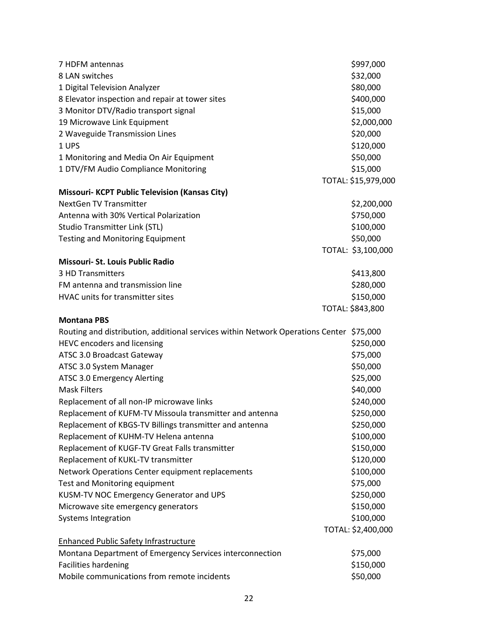| 7 HDFM antennas                                                                         | \$997,000           |
|-----------------------------------------------------------------------------------------|---------------------|
| 8 LAN switches                                                                          | \$32,000            |
| 1 Digital Television Analyzer                                                           | \$80,000            |
| 8 Elevator inspection and repair at tower sites                                         | \$400,000           |
| 3 Monitor DTV/Radio transport signal                                                    | \$15,000            |
| 19 Microwave Link Equipment                                                             | \$2,000,000         |
| 2 Waveguide Transmission Lines                                                          | \$20,000            |
| 1 UPS                                                                                   | \$120,000           |
| 1 Monitoring and Media On Air Equipment                                                 | \$50,000            |
| 1 DTV/FM Audio Compliance Monitoring                                                    | \$15,000            |
|                                                                                         | TOTAL: \$15,979,000 |
| <b>Missouri- KCPT Public Television (Kansas City)</b>                                   |                     |
| <b>NextGen TV Transmitter</b>                                                           | \$2,200,000         |
| Antenna with 30% Vertical Polarization                                                  | \$750,000           |
| <b>Studio Transmitter Link (STL)</b>                                                    | \$100,000           |
| <b>Testing and Monitoring Equipment</b>                                                 | \$50,000            |
|                                                                                         | TOTAL: \$3,100,000  |
| Missouri- St. Louis Public Radio                                                        |                     |
| 3 HD Transmitters                                                                       | \$413,800           |
| FM antenna and transmission line                                                        | \$280,000           |
| HVAC units for transmitter sites                                                        | \$150,000           |
|                                                                                         | TOTAL: \$843,800    |
| <b>Montana PBS</b>                                                                      |                     |
| Routing and distribution, additional services within Network Operations Center \$75,000 |                     |
| <b>HEVC encoders and licensing</b>                                                      | \$250,000           |
| ATSC 3.0 Broadcast Gateway                                                              | \$75,000            |
| ATSC 3.0 System Manager                                                                 | \$50,000            |
| ATSC 3.0 Emergency Alerting                                                             | \$25,000            |
| <b>Mask Filters</b>                                                                     | \$40,000            |
| Replacement of all non-IP microwave links                                               | \$240,000           |
| Replacement of KUFM-TV Missoula transmitter and antenna                                 | \$250,000           |
| Replacement of KBGS-TV Billings transmitter and antenna                                 | \$250,000           |
| Replacement of KUHM-TV Helena antenna                                                   | \$100,000           |
| Replacement of KUGF-TV Great Falls transmitter                                          | \$150,000           |
| Replacement of KUKL-TV transmitter                                                      | \$120,000           |
| Network Operations Center equipment replacements                                        | \$100,000           |
| Test and Monitoring equipment                                                           | \$75,000            |
| KUSM-TV NOC Emergency Generator and UPS                                                 | \$250,000           |
| Microwave site emergency generators                                                     | \$150,000           |
| <b>Systems Integration</b>                                                              | \$100,000           |
|                                                                                         | TOTAL: \$2,400,000  |
| <b>Enhanced Public Safety Infrastructure</b>                                            |                     |
| Montana Department of Emergency Services interconnection                                | \$75,000            |
| <b>Facilities hardening</b>                                                             | \$150,000           |
| Mobile communications from remote incidents                                             | \$50,000            |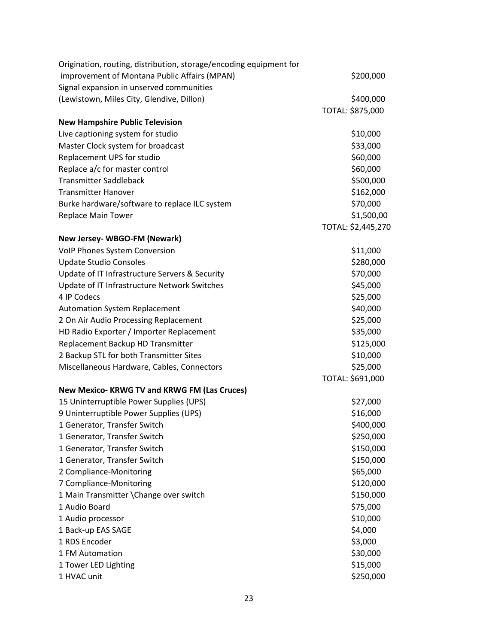| Origination, routing, distribution, storage/encoding equipment for |                    |
|--------------------------------------------------------------------|--------------------|
| improvement of Montana Public Affairs (MPAN)                       | \$200,000          |
| Signal expansion in unserved communities                           |                    |
| (Lewistown, Miles City, Glendive, Dillon)                          | \$400,000          |
|                                                                    | TOTAL: \$875,000   |
| <b>New Hampshire Public Television</b>                             |                    |
| Live captioning system for studio                                  | \$10,000           |
| Master Clock system for broadcast                                  | \$33,000           |
| Replacement UPS for studio                                         | \$60,000           |
| Replace a/c for master control                                     | \$60,000           |
| <b>Transmitter Saddleback</b>                                      | \$500,000          |
| <b>Transmitter Hanover</b>                                         | \$162,000          |
| Burke hardware/software to replace ILC system                      | \$70,000           |
| Replace Main Tower                                                 | \$1,500,00         |
|                                                                    | TOTAL: \$2,445,270 |
| New Jersey- WBGO-FM (Newark)                                       |                    |
| <b>VoIP Phones System Conversion</b>                               | \$11,000           |
| <b>Update Studio Consoles</b>                                      | \$280,000          |
| Update of IT Infrastructure Servers & Security                     | \$70,000           |
| Update of IT Infrastructure Network Switches                       | \$45,000           |
| 4 IP Codecs                                                        | \$25,000           |
| <b>Automation System Replacement</b>                               | \$40,000           |
| 2 On Air Audio Processing Replacement                              | \$25,000           |
| HD Radio Exporter / Importer Replacement                           | \$35,000           |
| Replacement Backup HD Transmitter                                  | \$125,000          |
| 2 Backup STL for both Transmitter Sites                            | \$10,000           |
| Miscellaneous Hardware, Cables, Connectors                         | \$25,000           |
|                                                                    | TOTAL: \$691,000   |
| New Mexico- KRWG TV and KRWG FM (Las Cruces)                       |                    |
| 15 Uninterruptible Power Supplies (UPS)                            | \$27,000           |
| 9 Uninterruptible Power Supplies (UPS)                             | \$16,000           |
| 1 Generator, Transfer Switch                                       | \$400,000          |
| 1 Generator, Transfer Switch                                       | \$250,000          |
| 1 Generator, Transfer Switch                                       | \$150,000          |
| 1 Generator, Transfer Switch                                       | \$150,000          |
| 2 Compliance-Monitoring                                            | \$65,000           |
| 7 Compliance-Monitoring                                            | \$120,000          |
| 1 Main Transmitter \Change over switch                             | \$150,000          |
| 1 Audio Board                                                      | \$75,000           |
| 1 Audio processor                                                  | \$10,000           |
| 1 Back-up EAS SAGE                                                 | \$4,000            |
| 1 RDS Encoder                                                      | \$3,000            |
| 1 FM Automation                                                    | \$30,000           |
| 1 Tower LED Lighting                                               | \$15,000           |
| 1 HVAC unit                                                        | \$250,000          |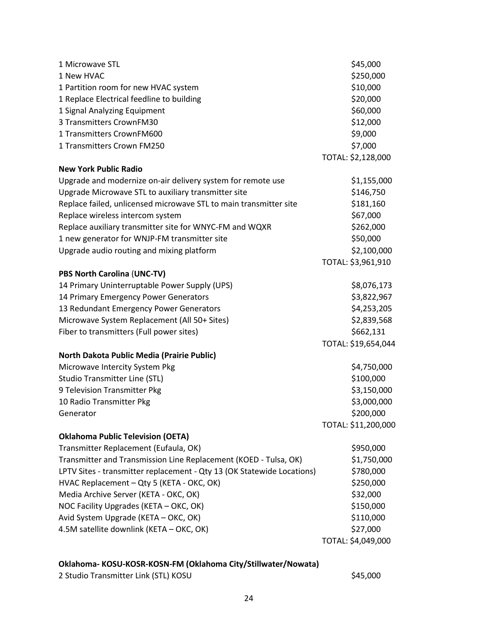| 1 Microwave STL<br>1 New HVAC<br>1 Partition room for new HVAC system<br>1 Replace Electrical feedline to building<br>1 Signal Analyzing Equipment<br>3 Transmitters CrownFM30<br>1 Transmitters CrownFM600<br>1 Transmitters Crown FM250                                                                                                                                                                                                           | \$45,000<br>\$250,000<br>\$10,000<br>\$20,000<br>\$60,000<br>\$12,000<br>\$9,000<br>\$7,000                                |
|-----------------------------------------------------------------------------------------------------------------------------------------------------------------------------------------------------------------------------------------------------------------------------------------------------------------------------------------------------------------------------------------------------------------------------------------------------|----------------------------------------------------------------------------------------------------------------------------|
|                                                                                                                                                                                                                                                                                                                                                                                                                                                     | TOTAL: \$2,128,000                                                                                                         |
| <b>New York Public Radio</b><br>Upgrade and modernize on-air delivery system for remote use<br>Upgrade Microwave STL to auxiliary transmitter site<br>Replace failed, unlicensed microwave STL to main transmitter site<br>Replace wireless intercom system<br>Replace auxiliary transmitter site for WNYC-FM and WQXR<br>1 new generator for WNJP-FM transmitter site<br>Upgrade audio routing and mixing platform                                 | \$1,155,000<br>\$146,750<br>\$181,160<br>\$67,000<br>\$262,000<br>\$50,000<br>\$2,100,000                                  |
|                                                                                                                                                                                                                                                                                                                                                                                                                                                     | TOTAL: \$3,961,910                                                                                                         |
| <b>PBS North Carolina (UNC-TV)</b>                                                                                                                                                                                                                                                                                                                                                                                                                  |                                                                                                                            |
| 14 Primary Uninterruptable Power Supply (UPS)<br>14 Primary Emergency Power Generators<br>13 Redundant Emergency Power Generators<br>Microwave System Replacement (All 50+ Sites)<br>Fiber to transmitters (Full power sites)<br>North Dakota Public Media (Prairie Public)                                                                                                                                                                         | \$8,076,173<br>\$3,822,967<br>\$4,253,205<br>\$2,839,568<br>\$662,131<br>TOTAL: \$19,654,044                               |
| Microwave Intercity System Pkg                                                                                                                                                                                                                                                                                                                                                                                                                      | \$4,750,000                                                                                                                |
| <b>Studio Transmitter Line (STL)</b><br>9 Television Transmitter Pkg<br>10 Radio Transmitter Pkg<br>Generator                                                                                                                                                                                                                                                                                                                                       | \$100,000<br>\$3,150,000<br>\$3,000,000<br>\$200,000<br>TOTAL: \$11,200,000                                                |
| <b>Oklahoma Public Television (OETA)</b><br>Transmitter Replacement (Eufaula, OK)<br>Transmitter and Transmission Line Replacement (KOED - Tulsa, OK)<br>LPTV Sites - transmitter replacement - Qty 13 (OK Statewide Locations)<br>HVAC Replacement - Qty 5 (KETA - OKC, OK)<br>Media Archive Server (KETA - OKC, OK)<br>NOC Facility Upgrades (KETA - OKC, OK)<br>Avid System Upgrade (KETA - OKC, OK)<br>4.5M satellite downlink (KETA - OKC, OK) | \$950,000<br>\$1,750,000<br>\$780,000<br>\$250,000<br>\$32,000<br>\$150,000<br>\$110,000<br>\$27,000<br>TOTAL: \$4,049,000 |

#### **Oklahoma- KOSU-KOSR-KOSN-FM (Oklahoma City/Stillwater/Nowata)**

2 Studio Transmitter Link (STL) KOSU \$45,000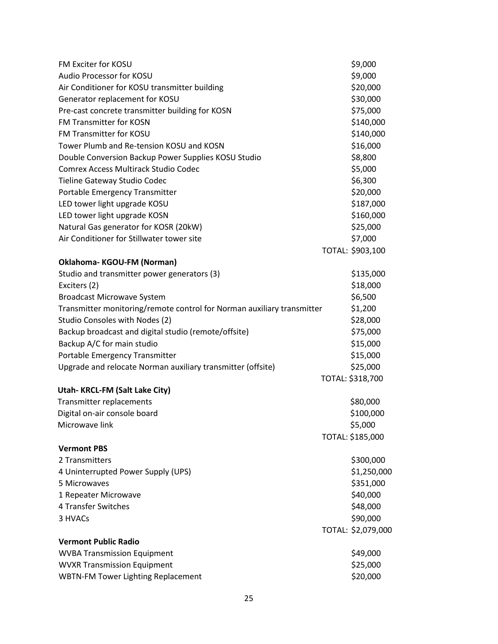| FM Exciter for KOSU                                                    | \$9,000            |
|------------------------------------------------------------------------|--------------------|
| Audio Processor for KOSU                                               | \$9,000            |
| Air Conditioner for KOSU transmitter building                          | \$20,000           |
| Generator replacement for KOSU                                         | \$30,000           |
| Pre-cast concrete transmitter building for KOSN                        | \$75,000           |
| <b>FM Transmitter for KOSN</b>                                         | \$140,000          |
| FM Transmitter for KOSU                                                | \$140,000          |
| Tower Plumb and Re-tension KOSU and KOSN                               | \$16,000           |
| Double Conversion Backup Power Supplies KOSU Studio                    | \$8,800            |
| Comrex Access Multirack Studio Codec                                   | \$5,000            |
| Tieline Gateway Studio Codec                                           | \$6,300            |
| Portable Emergency Transmitter                                         | \$20,000           |
| LED tower light upgrade KOSU                                           | \$187,000          |
| LED tower light upgrade KOSN                                           | \$160,000          |
| Natural Gas generator for KOSR (20kW)                                  | \$25,000           |
| Air Conditioner for Stillwater tower site                              | \$7,000            |
|                                                                        | TOTAL: \$903,100   |
| Oklahoma-KGOU-FM (Norman)                                              |                    |
| Studio and transmitter power generators (3)                            | \$135,000          |
| Exciters (2)                                                           | \$18,000           |
| <b>Broadcast Microwave System</b>                                      | \$6,500            |
| Transmitter monitoring/remote control for Norman auxiliary transmitter | \$1,200            |
| Studio Consoles with Nodes (2)                                         | \$28,000           |
| Backup broadcast and digital studio (remote/offsite)                   | \$75,000           |
| Backup A/C for main studio                                             | \$15,000           |
| Portable Emergency Transmitter                                         | \$15,000           |
| Upgrade and relocate Norman auxiliary transmitter (offsite)            | \$25,000           |
|                                                                        | TOTAL: \$318,700   |
| Utah-KRCL-FM (Salt Lake City)                                          |                    |
| Transmitter replacements                                               | \$80,000           |
| Digital on-air console board                                           | \$100,000          |
| Microwave link                                                         | \$5,000            |
|                                                                        | TOTAL: \$185,000   |
| <b>Vermont PBS</b>                                                     |                    |
| 2 Transmitters                                                         | \$300,000          |
| 4 Uninterrupted Power Supply (UPS)                                     | \$1,250,000        |
| 5 Microwaves                                                           | \$351,000          |
| 1 Repeater Microwave                                                   | \$40,000           |
| 4 Transfer Switches                                                    | \$48,000           |
| 3 HVACs                                                                | \$90,000           |
|                                                                        | TOTAL: \$2,079,000 |
| <b>Vermont Public Radio</b>                                            |                    |
| <b>WVBA Transmission Equipment</b>                                     | \$49,000           |
| <b>WVXR Transmission Equipment</b>                                     | \$25,000           |
| <b>WBTN-FM Tower Lighting Replacement</b>                              | \$20,000           |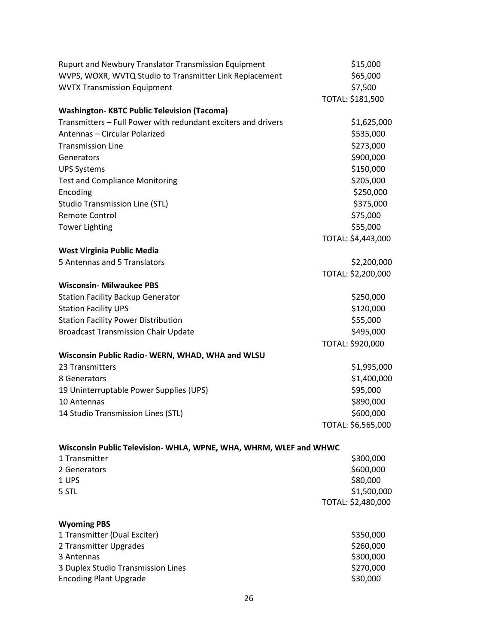| WVPS, WOXR, WVTQ Studio to Transmitter Link Replacement<br>\$65,000<br>\$7,500<br><b>WVTX Transmission Equipment</b><br>TOTAL: \$181,500<br><b>Washington-KBTC Public Television (Tacoma)</b><br>Transmitters - Full Power with redundant exciters and drivers<br>\$1,625,000<br>\$535,000<br>Antennas - Circular Polarized<br>\$273,000<br><b>Transmission Line</b><br>\$900,000<br>Generators<br>\$150,000<br><b>UPS Systems</b><br>\$205,000<br><b>Test and Compliance Monitoring</b><br>\$250,000<br>Encoding<br>\$375,000<br><b>Studio Transmission Line (STL)</b><br><b>Remote Control</b><br>\$75,000<br>\$55,000<br><b>Tower Lighting</b><br>TOTAL: \$4,443,000<br>West Virginia Public Media<br>5 Antennas and 5 Translators<br>\$2,200,000<br>TOTAL: \$2,200,000<br><b>Wisconsin- Milwaukee PBS</b><br><b>Station Facility Backup Generator</b><br>\$250,000<br><b>Station Facility UPS</b><br>\$120,000<br>\$55,000<br><b>Station Facility Power Distribution</b><br><b>Broadcast Transmission Chair Update</b><br>\$495,000<br>TOTAL: \$920,000<br>Wisconsin Public Radio- WERN, WHAD, WHA and WLSU<br>\$1,995,000<br>23 Transmitters<br>\$1,400,000<br>8 Generators<br>\$95,000<br>19 Uninterruptable Power Supplies (UPS)<br>\$890,000<br>10 Antennas<br>\$600,000<br>14 Studio Transmission Lines (STL)<br>TOTAL: \$6,565,000<br>Wisconsin Public Television- WHLA, WPNE, WHA, WHRM, WLEF and WHWC<br>1 Transmitter<br>\$300,000<br>\$600,000<br>2 Generators<br>\$80,000<br>1 UPS<br>\$1,500,000<br>5 STL<br>TOTAL: \$2,480,000<br><b>Wyoming PBS</b><br>1 Transmitter (Dual Exciter)<br>\$350,000<br>2 Transmitter Upgrades<br>\$260,000<br>\$300,000<br>3 Antennas<br>\$270,000<br>3 Duplex Studio Transmission Lines<br>\$30,000<br><b>Encoding Plant Upgrade</b> | Rupurt and Newbury Translator Transmission Equipment | \$15,000 |
|--------------------------------------------------------------------------------------------------------------------------------------------------------------------------------------------------------------------------------------------------------------------------------------------------------------------------------------------------------------------------------------------------------------------------------------------------------------------------------------------------------------------------------------------------------------------------------------------------------------------------------------------------------------------------------------------------------------------------------------------------------------------------------------------------------------------------------------------------------------------------------------------------------------------------------------------------------------------------------------------------------------------------------------------------------------------------------------------------------------------------------------------------------------------------------------------------------------------------------------------------------------------------------------------------------------------------------------------------------------------------------------------------------------------------------------------------------------------------------------------------------------------------------------------------------------------------------------------------------------------------------------------------------------------------------------------------------------------------------------------------------------------------------------|------------------------------------------------------|----------|
|                                                                                                                                                                                                                                                                                                                                                                                                                                                                                                                                                                                                                                                                                                                                                                                                                                                                                                                                                                                                                                                                                                                                                                                                                                                                                                                                                                                                                                                                                                                                                                                                                                                                                                                                                                                      |                                                      |          |
|                                                                                                                                                                                                                                                                                                                                                                                                                                                                                                                                                                                                                                                                                                                                                                                                                                                                                                                                                                                                                                                                                                                                                                                                                                                                                                                                                                                                                                                                                                                                                                                                                                                                                                                                                                                      |                                                      |          |
|                                                                                                                                                                                                                                                                                                                                                                                                                                                                                                                                                                                                                                                                                                                                                                                                                                                                                                                                                                                                                                                                                                                                                                                                                                                                                                                                                                                                                                                                                                                                                                                                                                                                                                                                                                                      |                                                      |          |
|                                                                                                                                                                                                                                                                                                                                                                                                                                                                                                                                                                                                                                                                                                                                                                                                                                                                                                                                                                                                                                                                                                                                                                                                                                                                                                                                                                                                                                                                                                                                                                                                                                                                                                                                                                                      |                                                      |          |
|                                                                                                                                                                                                                                                                                                                                                                                                                                                                                                                                                                                                                                                                                                                                                                                                                                                                                                                                                                                                                                                                                                                                                                                                                                                                                                                                                                                                                                                                                                                                                                                                                                                                                                                                                                                      |                                                      |          |
|                                                                                                                                                                                                                                                                                                                                                                                                                                                                                                                                                                                                                                                                                                                                                                                                                                                                                                                                                                                                                                                                                                                                                                                                                                                                                                                                                                                                                                                                                                                                                                                                                                                                                                                                                                                      |                                                      |          |
|                                                                                                                                                                                                                                                                                                                                                                                                                                                                                                                                                                                                                                                                                                                                                                                                                                                                                                                                                                                                                                                                                                                                                                                                                                                                                                                                                                                                                                                                                                                                                                                                                                                                                                                                                                                      |                                                      |          |
|                                                                                                                                                                                                                                                                                                                                                                                                                                                                                                                                                                                                                                                                                                                                                                                                                                                                                                                                                                                                                                                                                                                                                                                                                                                                                                                                                                                                                                                                                                                                                                                                                                                                                                                                                                                      |                                                      |          |
|                                                                                                                                                                                                                                                                                                                                                                                                                                                                                                                                                                                                                                                                                                                                                                                                                                                                                                                                                                                                                                                                                                                                                                                                                                                                                                                                                                                                                                                                                                                                                                                                                                                                                                                                                                                      |                                                      |          |
|                                                                                                                                                                                                                                                                                                                                                                                                                                                                                                                                                                                                                                                                                                                                                                                                                                                                                                                                                                                                                                                                                                                                                                                                                                                                                                                                                                                                                                                                                                                                                                                                                                                                                                                                                                                      |                                                      |          |
|                                                                                                                                                                                                                                                                                                                                                                                                                                                                                                                                                                                                                                                                                                                                                                                                                                                                                                                                                                                                                                                                                                                                                                                                                                                                                                                                                                                                                                                                                                                                                                                                                                                                                                                                                                                      |                                                      |          |
|                                                                                                                                                                                                                                                                                                                                                                                                                                                                                                                                                                                                                                                                                                                                                                                                                                                                                                                                                                                                                                                                                                                                                                                                                                                                                                                                                                                                                                                                                                                                                                                                                                                                                                                                                                                      |                                                      |          |
|                                                                                                                                                                                                                                                                                                                                                                                                                                                                                                                                                                                                                                                                                                                                                                                                                                                                                                                                                                                                                                                                                                                                                                                                                                                                                                                                                                                                                                                                                                                                                                                                                                                                                                                                                                                      |                                                      |          |
|                                                                                                                                                                                                                                                                                                                                                                                                                                                                                                                                                                                                                                                                                                                                                                                                                                                                                                                                                                                                                                                                                                                                                                                                                                                                                                                                                                                                                                                                                                                                                                                                                                                                                                                                                                                      |                                                      |          |
|                                                                                                                                                                                                                                                                                                                                                                                                                                                                                                                                                                                                                                                                                                                                                                                                                                                                                                                                                                                                                                                                                                                                                                                                                                                                                                                                                                                                                                                                                                                                                                                                                                                                                                                                                                                      |                                                      |          |
|                                                                                                                                                                                                                                                                                                                                                                                                                                                                                                                                                                                                                                                                                                                                                                                                                                                                                                                                                                                                                                                                                                                                                                                                                                                                                                                                                                                                                                                                                                                                                                                                                                                                                                                                                                                      |                                                      |          |
|                                                                                                                                                                                                                                                                                                                                                                                                                                                                                                                                                                                                                                                                                                                                                                                                                                                                                                                                                                                                                                                                                                                                                                                                                                                                                                                                                                                                                                                                                                                                                                                                                                                                                                                                                                                      |                                                      |          |
|                                                                                                                                                                                                                                                                                                                                                                                                                                                                                                                                                                                                                                                                                                                                                                                                                                                                                                                                                                                                                                                                                                                                                                                                                                                                                                                                                                                                                                                                                                                                                                                                                                                                                                                                                                                      |                                                      |          |
|                                                                                                                                                                                                                                                                                                                                                                                                                                                                                                                                                                                                                                                                                                                                                                                                                                                                                                                                                                                                                                                                                                                                                                                                                                                                                                                                                                                                                                                                                                                                                                                                                                                                                                                                                                                      |                                                      |          |
|                                                                                                                                                                                                                                                                                                                                                                                                                                                                                                                                                                                                                                                                                                                                                                                                                                                                                                                                                                                                                                                                                                                                                                                                                                                                                                                                                                                                                                                                                                                                                                                                                                                                                                                                                                                      |                                                      |          |
|                                                                                                                                                                                                                                                                                                                                                                                                                                                                                                                                                                                                                                                                                                                                                                                                                                                                                                                                                                                                                                                                                                                                                                                                                                                                                                                                                                                                                                                                                                                                                                                                                                                                                                                                                                                      |                                                      |          |
|                                                                                                                                                                                                                                                                                                                                                                                                                                                                                                                                                                                                                                                                                                                                                                                                                                                                                                                                                                                                                                                                                                                                                                                                                                                                                                                                                                                                                                                                                                                                                                                                                                                                                                                                                                                      |                                                      |          |
|                                                                                                                                                                                                                                                                                                                                                                                                                                                                                                                                                                                                                                                                                                                                                                                                                                                                                                                                                                                                                                                                                                                                                                                                                                                                                                                                                                                                                                                                                                                                                                                                                                                                                                                                                                                      |                                                      |          |
|                                                                                                                                                                                                                                                                                                                                                                                                                                                                                                                                                                                                                                                                                                                                                                                                                                                                                                                                                                                                                                                                                                                                                                                                                                                                                                                                                                                                                                                                                                                                                                                                                                                                                                                                                                                      |                                                      |          |
|                                                                                                                                                                                                                                                                                                                                                                                                                                                                                                                                                                                                                                                                                                                                                                                                                                                                                                                                                                                                                                                                                                                                                                                                                                                                                                                                                                                                                                                                                                                                                                                                                                                                                                                                                                                      |                                                      |          |
|                                                                                                                                                                                                                                                                                                                                                                                                                                                                                                                                                                                                                                                                                                                                                                                                                                                                                                                                                                                                                                                                                                                                                                                                                                                                                                                                                                                                                                                                                                                                                                                                                                                                                                                                                                                      |                                                      |          |
|                                                                                                                                                                                                                                                                                                                                                                                                                                                                                                                                                                                                                                                                                                                                                                                                                                                                                                                                                                                                                                                                                                                                                                                                                                                                                                                                                                                                                                                                                                                                                                                                                                                                                                                                                                                      |                                                      |          |
|                                                                                                                                                                                                                                                                                                                                                                                                                                                                                                                                                                                                                                                                                                                                                                                                                                                                                                                                                                                                                                                                                                                                                                                                                                                                                                                                                                                                                                                                                                                                                                                                                                                                                                                                                                                      |                                                      |          |
|                                                                                                                                                                                                                                                                                                                                                                                                                                                                                                                                                                                                                                                                                                                                                                                                                                                                                                                                                                                                                                                                                                                                                                                                                                                                                                                                                                                                                                                                                                                                                                                                                                                                                                                                                                                      |                                                      |          |
|                                                                                                                                                                                                                                                                                                                                                                                                                                                                                                                                                                                                                                                                                                                                                                                                                                                                                                                                                                                                                                                                                                                                                                                                                                                                                                                                                                                                                                                                                                                                                                                                                                                                                                                                                                                      |                                                      |          |
|                                                                                                                                                                                                                                                                                                                                                                                                                                                                                                                                                                                                                                                                                                                                                                                                                                                                                                                                                                                                                                                                                                                                                                                                                                                                                                                                                                                                                                                                                                                                                                                                                                                                                                                                                                                      |                                                      |          |
|                                                                                                                                                                                                                                                                                                                                                                                                                                                                                                                                                                                                                                                                                                                                                                                                                                                                                                                                                                                                                                                                                                                                                                                                                                                                                                                                                                                                                                                                                                                                                                                                                                                                                                                                                                                      |                                                      |          |
|                                                                                                                                                                                                                                                                                                                                                                                                                                                                                                                                                                                                                                                                                                                                                                                                                                                                                                                                                                                                                                                                                                                                                                                                                                                                                                                                                                                                                                                                                                                                                                                                                                                                                                                                                                                      |                                                      |          |
|                                                                                                                                                                                                                                                                                                                                                                                                                                                                                                                                                                                                                                                                                                                                                                                                                                                                                                                                                                                                                                                                                                                                                                                                                                                                                                                                                                                                                                                                                                                                                                                                                                                                                                                                                                                      |                                                      |          |
|                                                                                                                                                                                                                                                                                                                                                                                                                                                                                                                                                                                                                                                                                                                                                                                                                                                                                                                                                                                                                                                                                                                                                                                                                                                                                                                                                                                                                                                                                                                                                                                                                                                                                                                                                                                      |                                                      |          |
|                                                                                                                                                                                                                                                                                                                                                                                                                                                                                                                                                                                                                                                                                                                                                                                                                                                                                                                                                                                                                                                                                                                                                                                                                                                                                                                                                                                                                                                                                                                                                                                                                                                                                                                                                                                      |                                                      |          |
|                                                                                                                                                                                                                                                                                                                                                                                                                                                                                                                                                                                                                                                                                                                                                                                                                                                                                                                                                                                                                                                                                                                                                                                                                                                                                                                                                                                                                                                                                                                                                                                                                                                                                                                                                                                      |                                                      |          |
|                                                                                                                                                                                                                                                                                                                                                                                                                                                                                                                                                                                                                                                                                                                                                                                                                                                                                                                                                                                                                                                                                                                                                                                                                                                                                                                                                                                                                                                                                                                                                                                                                                                                                                                                                                                      |                                                      |          |
|                                                                                                                                                                                                                                                                                                                                                                                                                                                                                                                                                                                                                                                                                                                                                                                                                                                                                                                                                                                                                                                                                                                                                                                                                                                                                                                                                                                                                                                                                                                                                                                                                                                                                                                                                                                      |                                                      |          |
|                                                                                                                                                                                                                                                                                                                                                                                                                                                                                                                                                                                                                                                                                                                                                                                                                                                                                                                                                                                                                                                                                                                                                                                                                                                                                                                                                                                                                                                                                                                                                                                                                                                                                                                                                                                      |                                                      |          |
|                                                                                                                                                                                                                                                                                                                                                                                                                                                                                                                                                                                                                                                                                                                                                                                                                                                                                                                                                                                                                                                                                                                                                                                                                                                                                                                                                                                                                                                                                                                                                                                                                                                                                                                                                                                      |                                                      |          |
|                                                                                                                                                                                                                                                                                                                                                                                                                                                                                                                                                                                                                                                                                                                                                                                                                                                                                                                                                                                                                                                                                                                                                                                                                                                                                                                                                                                                                                                                                                                                                                                                                                                                                                                                                                                      |                                                      |          |
|                                                                                                                                                                                                                                                                                                                                                                                                                                                                                                                                                                                                                                                                                                                                                                                                                                                                                                                                                                                                                                                                                                                                                                                                                                                                                                                                                                                                                                                                                                                                                                                                                                                                                                                                                                                      |                                                      |          |